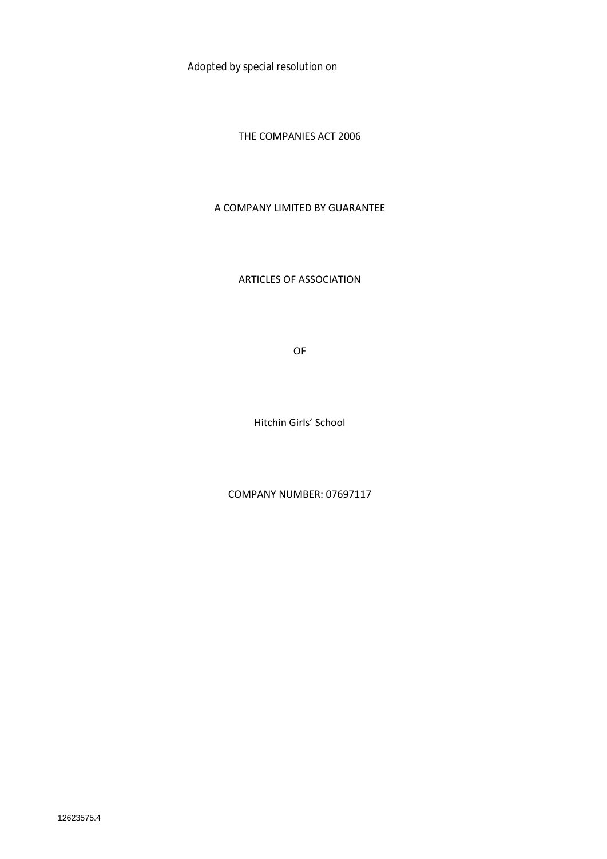Adopted by special resolution on

THE COMPANIES ACT 2006

#### A COMPANY LIMITED BY GUARANTEE

ARTICLES OF ASSOCIATION

OF

Hitchin Girls' School

COMPANY NUMBER: 07697117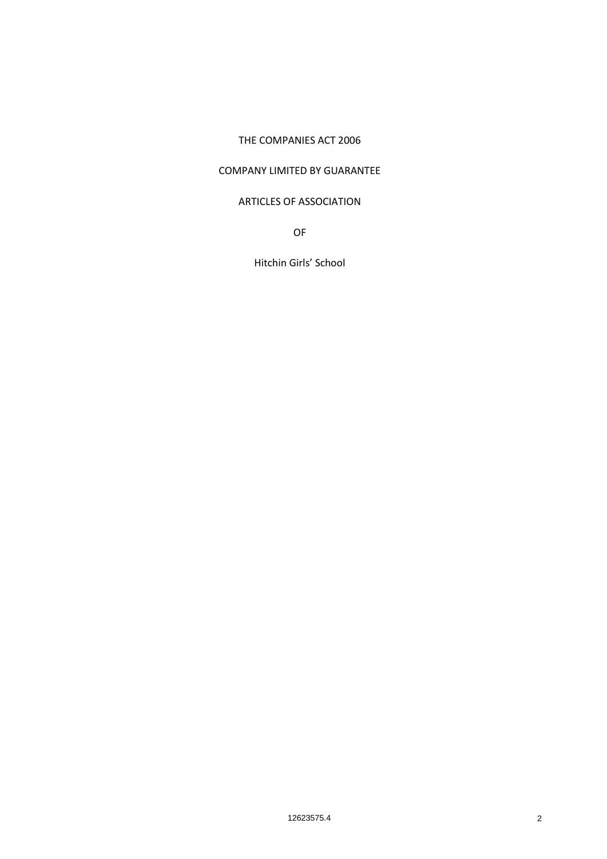#### THE COMPANIES ACT 2006

#### COMPANY LIMITED BY GUARANTEE

#### ARTICLES OF ASSOCIATION

OF

Hitchin Girls' School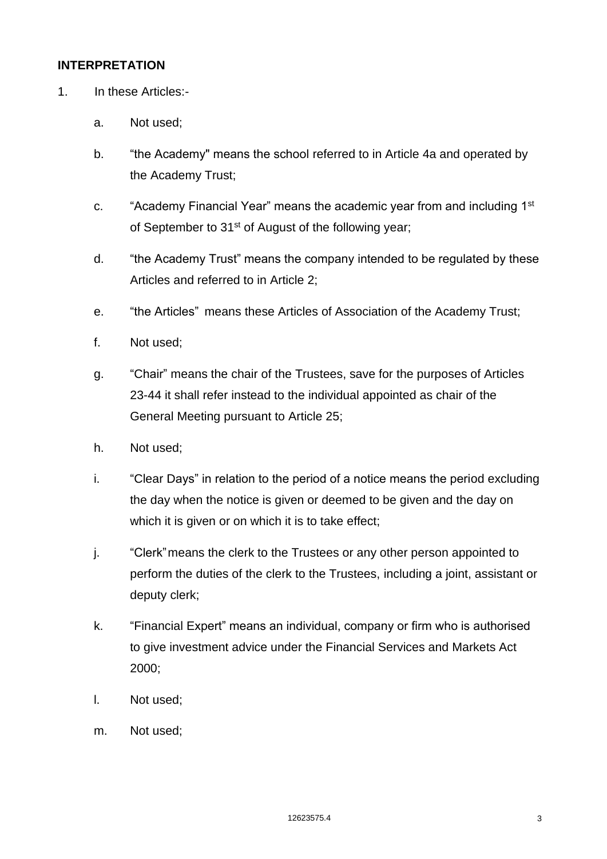#### **INTERPRETATION**

- 1. In these Articles:
	- a. Not used;
	- b. "the Academy" means the school referred to in Article 4a and operated by the Academy Trust;
	- c. "Academy Financial Year" means the academic year from and including 1<sup>st</sup> of September to 31<sup>st</sup> of August of the following year;
	- d. "the Academy Trust" means the company intended to be regulated by these Articles and referred to in Article 2;
	- e. "the Articles" means these Articles of Association of the Academy Trust;
	- f. Not used;
	- g. "Chair" means the chair of the Trustees, save for the purposes of Articles 23-44 it shall refer instead to the individual appointed as chair of the General Meeting pursuant to Article 25;
	- h. Not used;
	- i. "Clear Days" in relation to the period of a notice means the period excluding the day when the notice is given or deemed to be given and the day on which it is given or on which it is to take effect;
	- j. "Clerk"means the clerk to the Trustees or any other person appointed to perform the duties of the clerk to the Trustees, including a joint, assistant or deputy clerk;
	- k. "Financial Expert" means an individual, company or firm who is authorised to give investment advice under the Financial Services and Markets Act 2000;
	- l. Not used;
	- m. Not used;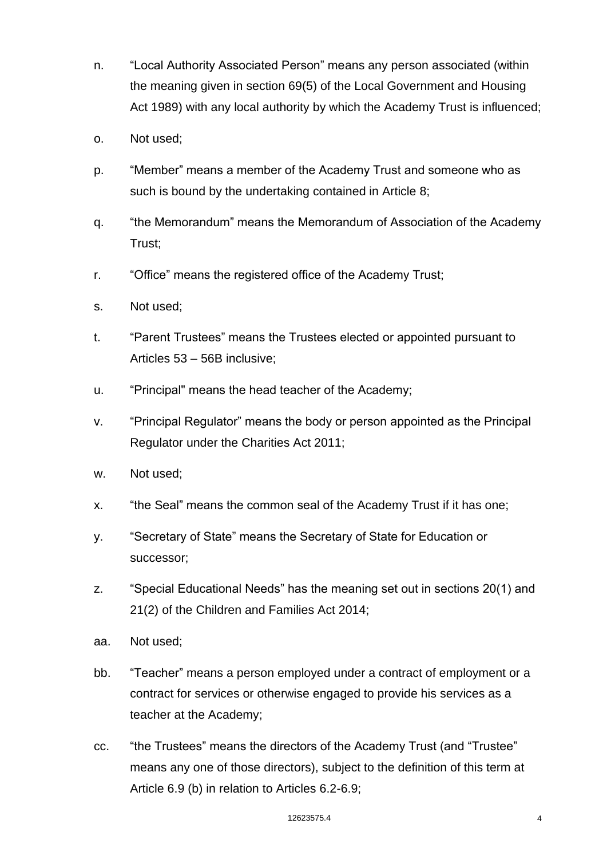- n. "Local Authority Associated Person" means any person associated (within the meaning given in section 69(5) of the Local Government and Housing Act 1989) with any local authority by which the Academy Trust is influenced;
- o. Not used;
- p. "Member" means a member of the Academy Trust and someone who as such is bound by the undertaking contained in Article 8;
- q. "the Memorandum" means the Memorandum of Association of the Academy Trust;
- r. "Office" means the registered office of the Academy Trust;
- s. Not used;
- t. "Parent Trustees" means the Trustees elected or appointed pursuant to Articles 53 – 56B inclusive;
- u. "Principal" means the head teacher of the Academy;
- v. "Principal Regulator" means the body or person appointed as the Principal Regulator under the Charities Act 2011;
- w. Not used;
- x. "the Seal" means the common seal of the Academy Trust if it has one;
- y. "Secretary of State" means the Secretary of State for Education or successor;
- z. "Special Educational Needs" has the meaning set out in sections 20(1) and 21(2) of the Children and Families Act 2014;
- aa. Not used;
- bb. "Teacher" means a person employed under a contract of employment or a contract for services or otherwise engaged to provide his services as a teacher at the Academy;
- cc. "the Trustees" means the directors of the Academy Trust (and "Trustee" means any one of those directors), subject to the definition of this term at Article 6.9 (b) in relation to Articles 6.2-6.9;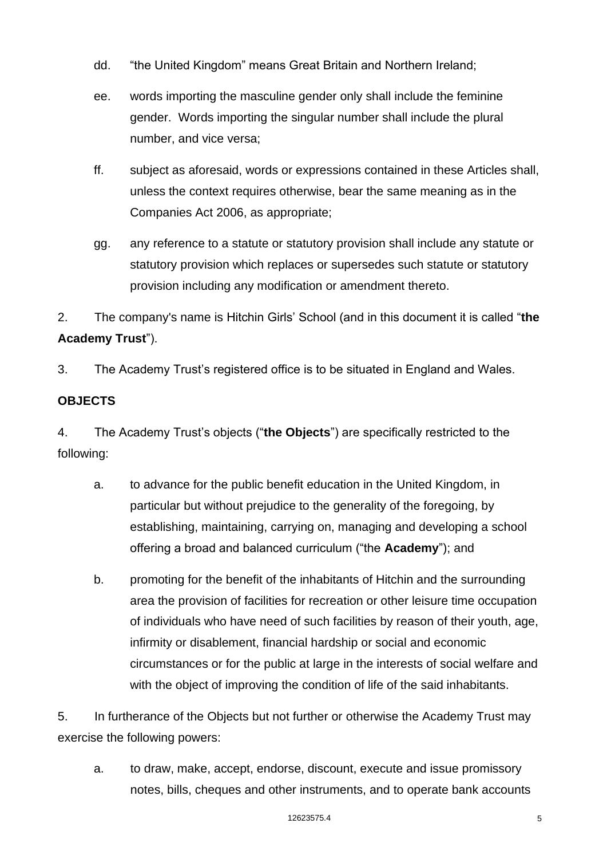- dd. "the United Kingdom" means Great Britain and Northern Ireland;
- ee. words importing the masculine gender only shall include the feminine gender. Words importing the singular number shall include the plural number, and vice versa;
- ff. subject as aforesaid, words or expressions contained in these Articles shall, unless the context requires otherwise, bear the same meaning as in the Companies Act 2006, as appropriate;
- gg. any reference to a statute or statutory provision shall include any statute or statutory provision which replaces or supersedes such statute or statutory provision including any modification or amendment thereto.

2. The company's name is Hitchin Girls' School (and in this document it is called "**the Academy Trust**").

3. The Academy Trust's registered office is to be situated in England and Wales.

# **OBJECTS**

4. The Academy Trust's objects ("**the Objects**") are specifically restricted to the following:

- a. to advance for the public benefit education in the United Kingdom, in particular but without prejudice to the generality of the foregoing, by establishing, maintaining, carrying on, managing and developing a school offering a broad and balanced curriculum ("the **Academy**"); and
- b. promoting for the benefit of the inhabitants of Hitchin and the surrounding area the provision of facilities for recreation or other leisure time occupation of individuals who have need of such facilities by reason of their youth, age, infirmity or disablement, financial hardship or social and economic circumstances or for the public at large in the interests of social welfare and with the object of improving the condition of life of the said inhabitants.

5. In furtherance of the Objects but not further or otherwise the Academy Trust may exercise the following powers:

a. to draw, make, accept, endorse, discount, execute and issue promissory notes, bills, cheques and other instruments, and to operate bank accounts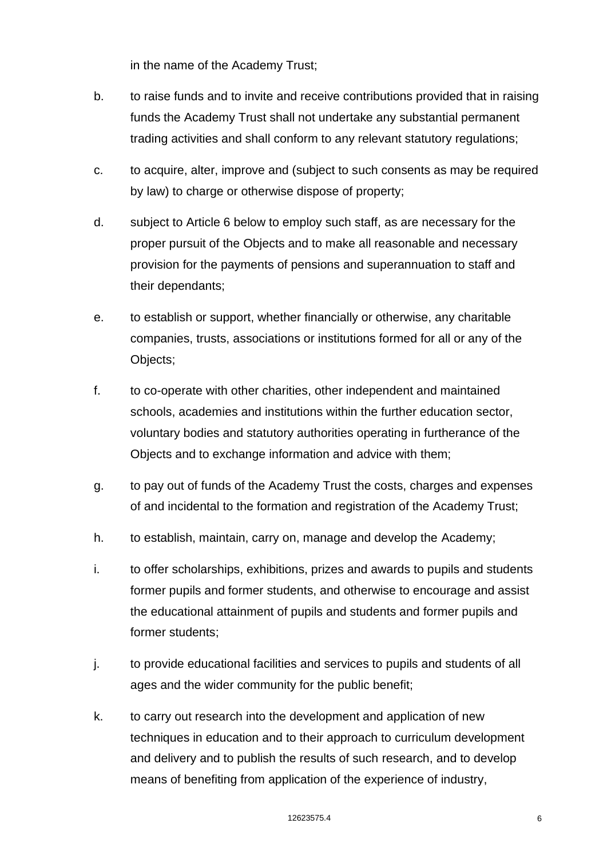in the name of the Academy Trust;

- b. to raise funds and to invite and receive contributions provided that in raising funds the Academy Trust shall not undertake any substantial permanent trading activities and shall conform to any relevant statutory regulations;
- c. to acquire, alter, improve and (subject to such consents as may be required by law) to charge or otherwise dispose of property;
- d. subject to Article 6 below to employ such staff, as are necessary for the proper pursuit of the Objects and to make all reasonable and necessary provision for the payments of pensions and superannuation to staff and their dependants;
- e. to establish or support, whether financially or otherwise, any charitable companies, trusts, associations or institutions formed for all or any of the Objects;
- f. to co-operate with other charities, other independent and maintained schools, academies and institutions within the further education sector, voluntary bodies and statutory authorities operating in furtherance of the Objects and to exchange information and advice with them;
- g. to pay out of funds of the Academy Trust the costs, charges and expenses of and incidental to the formation and registration of the Academy Trust;
- h. to establish, maintain, carry on, manage and develop the Academy;
- i. to offer scholarships, exhibitions, prizes and awards to pupils and students former pupils and former students, and otherwise to encourage and assist the educational attainment of pupils and students and former pupils and former students;
- j. to provide educational facilities and services to pupils and students of all ages and the wider community for the public benefit;
- k. to carry out research into the development and application of new techniques in education and to their approach to curriculum development and delivery and to publish the results of such research, and to develop means of benefiting from application of the experience of industry,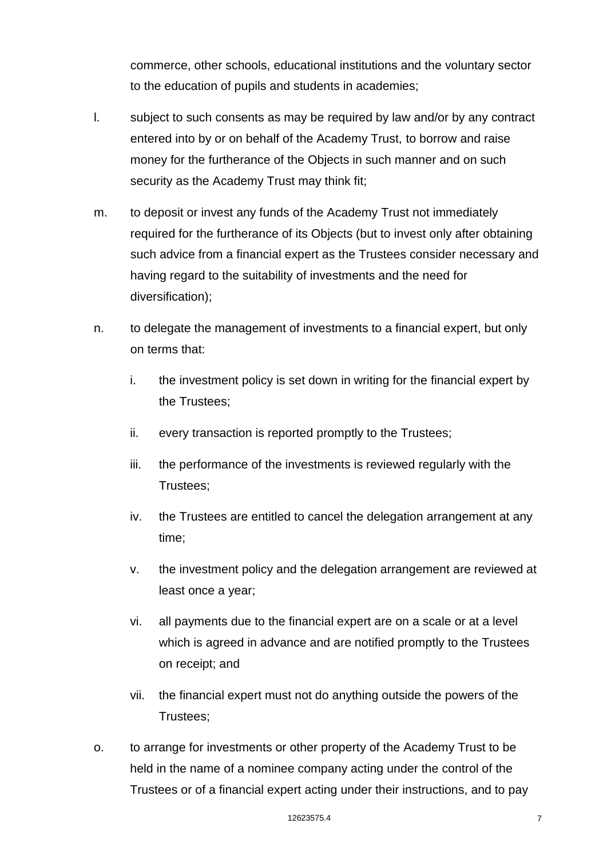commerce, other schools, educational institutions and the voluntary sector to the education of pupils and students in academies;

- l. subject to such consents as may be required by law and/or by any contract entered into by or on behalf of the Academy Trust, to borrow and raise money for the furtherance of the Objects in such manner and on such security as the Academy Trust may think fit;
- m. to deposit or invest any funds of the Academy Trust not immediately required for the furtherance of its Objects (but to invest only after obtaining such advice from a financial expert as the Trustees consider necessary and having regard to the suitability of investments and the need for diversification);
- n. to delegate the management of investments to a financial expert, but only on terms that:
	- i. the investment policy is set down in writing for the financial expert by the Trustees;
	- ii. every transaction is reported promptly to the Trustees;
	- iii. the performance of the investments is reviewed regularly with the Trustees;
	- iv. the Trustees are entitled to cancel the delegation arrangement at any time;
	- v. the investment policy and the delegation arrangement are reviewed at least once a year;
	- vi. all payments due to the financial expert are on a scale or at a level which is agreed in advance and are notified promptly to the Trustees on receipt; and
	- vii. the financial expert must not do anything outside the powers of the Trustees;
- o. to arrange for investments or other property of the Academy Trust to be held in the name of a nominee company acting under the control of the Trustees or of a financial expert acting under their instructions, and to pay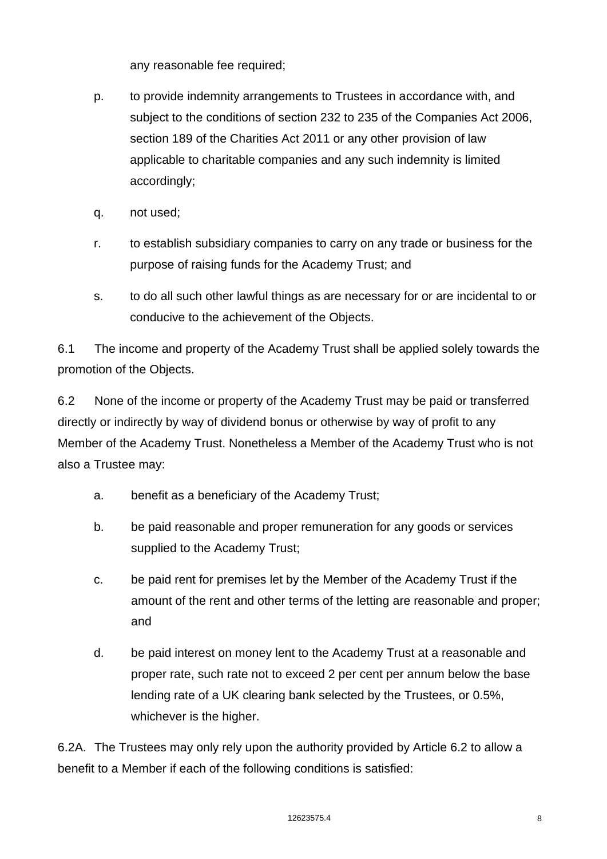any reasonable fee required;

- p. to provide indemnity arrangements to Trustees in accordance with, and subject to the conditions of section 232 to 235 of the Companies Act 2006, section 189 of the Charities Act 2011 or any other provision of law applicable to charitable companies and any such indemnity is limited accordingly;
- q. not used;
- r. to establish subsidiary companies to carry on any trade or business for the purpose of raising funds for the Academy Trust; and
- s. to do all such other lawful things as are necessary for or are incidental to or conducive to the achievement of the Objects.

6.1 The income and property of the Academy Trust shall be applied solely towards the promotion of the Objects.

6.2 None of the income or property of the Academy Trust may be paid or transferred directly or indirectly by way of dividend bonus or otherwise by way of profit to any Member of the Academy Trust. Nonetheless a Member of the Academy Trust who is not also a Trustee may:

- a. benefit as a beneficiary of the Academy Trust;
- b. be paid reasonable and proper remuneration for any goods or services supplied to the Academy Trust;
- c. be paid rent for premises let by the Member of the Academy Trust if the amount of the rent and other terms of the letting are reasonable and proper; and
- d. be paid interest on money lent to the Academy Trust at a reasonable and proper rate, such rate not to exceed 2 per cent per annum below the base lending rate of a UK clearing bank selected by the Trustees, or 0.5%, whichever is the higher.

6.2A. The Trustees may only rely upon the authority provided by Article 6.2 to allow a benefit to a Member if each of the following conditions is satisfied: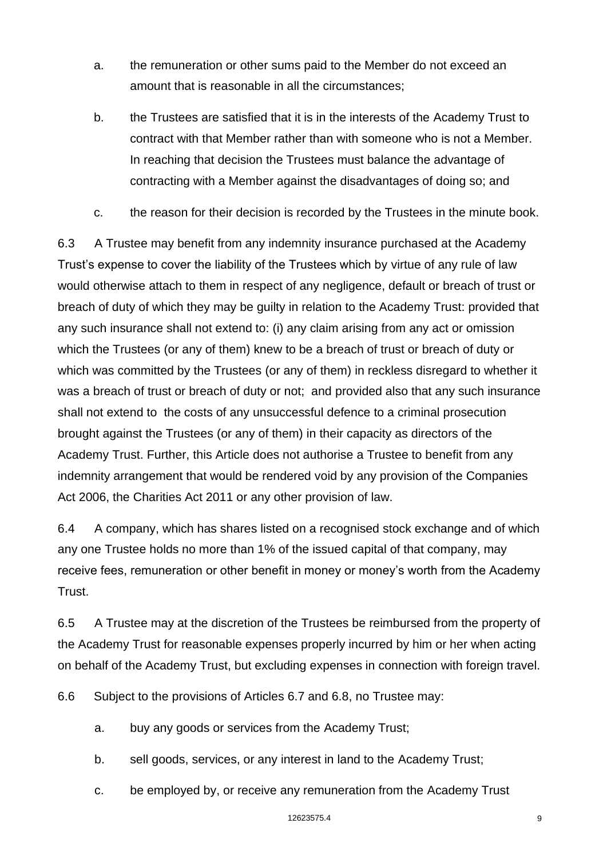- a. the remuneration or other sums paid to the Member do not exceed an amount that is reasonable in all the circumstances;
- b. the Trustees are satisfied that it is in the interests of the Academy Trust to contract with that Member rather than with someone who is not a Member. In reaching that decision the Trustees must balance the advantage of contracting with a Member against the disadvantages of doing so; and
- c. the reason for their decision is recorded by the Trustees in the minute book.

6.3 A Trustee may benefit from any indemnity insurance purchased at the Academy Trust's expense to cover the liability of the Trustees which by virtue of any rule of law would otherwise attach to them in respect of any negligence, default or breach of trust or breach of duty of which they may be guilty in relation to the Academy Trust: provided that any such insurance shall not extend to: (i) any claim arising from any act or omission which the Trustees (or any of them) knew to be a breach of trust or breach of duty or which was committed by the Trustees (or any of them) in reckless disregard to whether it was a breach of trust or breach of duty or not; and provided also that any such insurance shall not extend to the costs of any unsuccessful defence to a criminal prosecution brought against the Trustees (or any of them) in their capacity as directors of the Academy Trust. Further, this Article does not authorise a Trustee to benefit from any indemnity arrangement that would be rendered void by any provision of the Companies Act 2006, the Charities Act 2011 or any other provision of law.

6.4 A company, which has shares listed on a recognised stock exchange and of which any one Trustee holds no more than 1% of the issued capital of that company, may receive fees, remuneration or other benefit in money or money's worth from the Academy Trust.

6.5 A Trustee may at the discretion of the Trustees be reimbursed from the property of the Academy Trust for reasonable expenses properly incurred by him or her when acting on behalf of the Academy Trust, but excluding expenses in connection with foreign travel.

6.6 Subject to the provisions of Articles 6.7 and 6.8, no Trustee may:

- a. buy any goods or services from the Academy Trust;
- b. sell goods, services, or any interest in land to the Academy Trust;
- c. be employed by, or receive any remuneration from the Academy Trust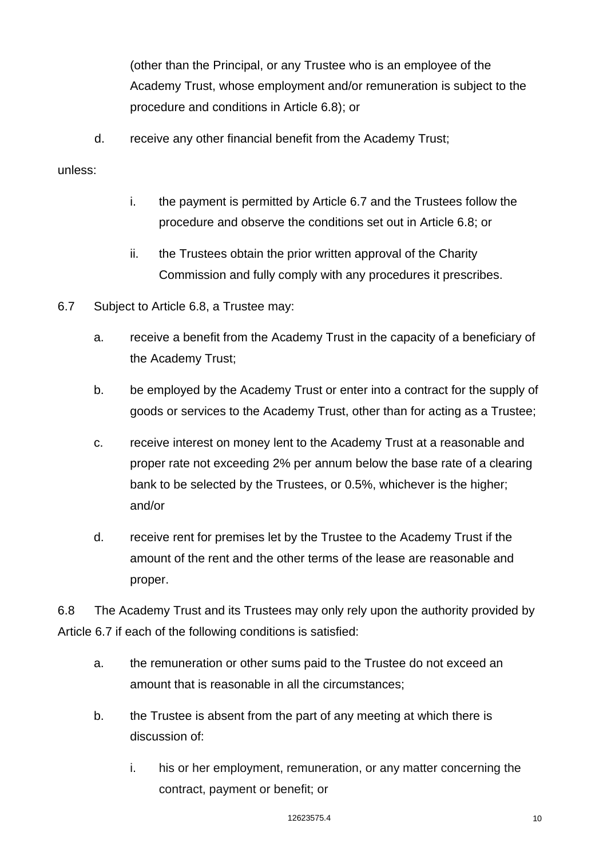(other than the Principal, or any Trustee who is an employee of the Academy Trust, whose employment and/or remuneration is subject to the procedure and conditions in Article 6.8); or

d. receive any other financial benefit from the Academy Trust;

#### unless:

- i. the payment is permitted by Article 6.7 and the Trustees follow the procedure and observe the conditions set out in Article 6.8; or
- ii. the Trustees obtain the prior written approval of the Charity Commission and fully comply with any procedures it prescribes.
- 6.7 Subject to Article 6.8, a Trustee may:
	- a. receive a benefit from the Academy Trust in the capacity of a beneficiary of the Academy Trust;
	- b. be employed by the Academy Trust or enter into a contract for the supply of goods or services to the Academy Trust, other than for acting as a Trustee;
	- c. receive interest on money lent to the Academy Trust at a reasonable and proper rate not exceeding 2% per annum below the base rate of a clearing bank to be selected by the Trustees, or 0.5%, whichever is the higher; and/or
	- d. receive rent for premises let by the Trustee to the Academy Trust if the amount of the rent and the other terms of the lease are reasonable and proper.

6.8 The Academy Trust and its Trustees may only rely upon the authority provided by Article 6.7 if each of the following conditions is satisfied:

- a. the remuneration or other sums paid to the Trustee do not exceed an amount that is reasonable in all the circumstances;
- b. the Trustee is absent from the part of any meeting at which there is discussion of:
	- i. his or her employment, remuneration, or any matter concerning the contract, payment or benefit; or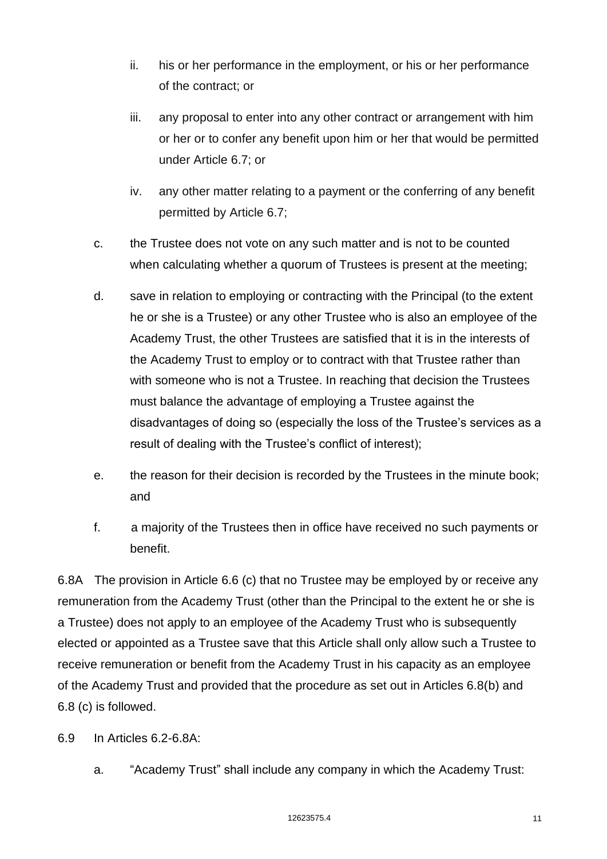- ii. his or her performance in the employment, or his or her performance of the contract; or
- iii. any proposal to enter into any other contract or arrangement with him or her or to confer any benefit upon him or her that would be permitted under Article 6.7; or
- iv. any other matter relating to a payment or the conferring of any benefit permitted by Article 6.7;
- c. the Trustee does not vote on any such matter and is not to be counted when calculating whether a quorum of Trustees is present at the meeting;
- d. save in relation to employing or contracting with the Principal (to the extent he or she is a Trustee) or any other Trustee who is also an employee of the Academy Trust, the other Trustees are satisfied that it is in the interests of the Academy Trust to employ or to contract with that Trustee rather than with someone who is not a Trustee. In reaching that decision the Trustees must balance the advantage of employing a Trustee against the disadvantages of doing so (especially the loss of the Trustee's services as a result of dealing with the Trustee's conflict of interest);
- e. the reason for their decision is recorded by the Trustees in the minute book; and
- f. a majority of the Trustees then in office have received no such payments or benefit.

6.8A The provision in Article 6.6 (c) that no Trustee may be employed by or receive any remuneration from the Academy Trust (other than the Principal to the extent he or she is a Trustee) does not apply to an employee of the Academy Trust who is subsequently elected or appointed as a Trustee save that this Article shall only allow such a Trustee to receive remuneration or benefit from the Academy Trust in his capacity as an employee of the Academy Trust and provided that the procedure as set out in Articles 6.8(b) and 6.8 (c) is followed.

6.9 In Articles 6.2-6.8A:

a. "Academy Trust" shall include any company in which the Academy Trust: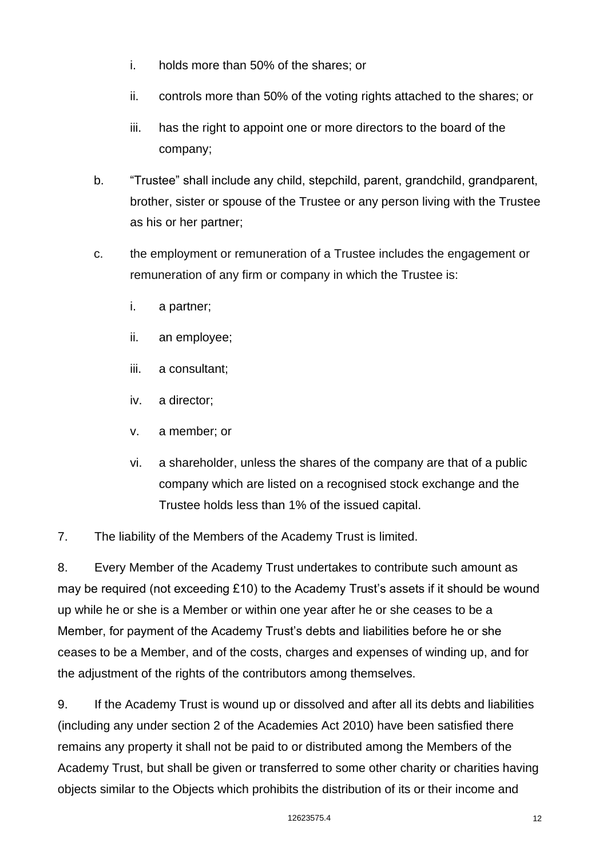- i. holds more than 50% of the shares; or
- ii. controls more than 50% of the voting rights attached to the shares; or
- iii. has the right to appoint one or more directors to the board of the company;
- b. "Trustee" shall include any child, stepchild, parent, grandchild, grandparent, brother, sister or spouse of the Trustee or any person living with the Trustee as his or her partner;
- c. the employment or remuneration of a Trustee includes the engagement or remuneration of any firm or company in which the Trustee is:
	- i. a partner;
	- ii. an employee;
	- iii. a consultant;
	- iv. a director;
	- v. a member; or
	- vi. a shareholder, unless the shares of the company are that of a public company which are listed on a recognised stock exchange and the Trustee holds less than 1% of the issued capital.
- 7. The liability of the Members of the Academy Trust is limited.

8. Every Member of the Academy Trust undertakes to contribute such amount as may be required (not exceeding £10) to the Academy Trust's assets if it should be wound up while he or she is a Member or within one year after he or she ceases to be a Member, for payment of the Academy Trust's debts and liabilities before he or she ceases to be a Member, and of the costs, charges and expenses of winding up, and for the adjustment of the rights of the contributors among themselves.

9. If the Academy Trust is wound up or dissolved and after all its debts and liabilities (including any under section 2 of the Academies Act 2010) have been satisfied there remains any property it shall not be paid to or distributed among the Members of the Academy Trust, but shall be given or transferred to some other charity or charities having objects similar to the Objects which prohibits the distribution of its or their income and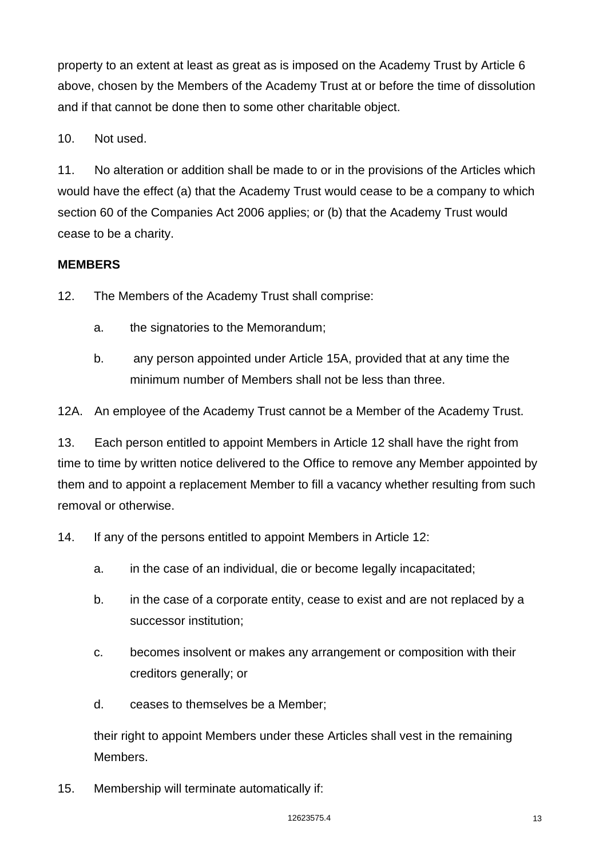property to an extent at least as great as is imposed on the Academy Trust by Article 6 above, chosen by the Members of the Academy Trust at or before the time of dissolution and if that cannot be done then to some other charitable object.

10. Not used.

11. No alteration or addition shall be made to or in the provisions of the Articles which would have the effect (a) that the Academy Trust would cease to be a company to which section 60 of the Companies Act 2006 applies; or (b) that the Academy Trust would cease to be a charity.

## **MEMBERS**

12. The Members of the Academy Trust shall comprise:

- a. the signatories to the Memorandum;
- b. any person appointed under Article 15A, provided that at any time the minimum number of Members shall not be less than three.

12A. An employee of the Academy Trust cannot be a Member of the Academy Trust.

13. Each person entitled to appoint Members in Article 12 shall have the right from time to time by written notice delivered to the Office to remove any Member appointed by them and to appoint a replacement Member to fill a vacancy whether resulting from such removal or otherwise.

14. If any of the persons entitled to appoint Members in Article 12:

- a. in the case of an individual, die or become legally incapacitated;
- b. in the case of a corporate entity, cease to exist and are not replaced by a successor institution;
- c. becomes insolvent or makes any arrangement or composition with their creditors generally; or
- d. ceases to themselves be a Member;

their right to appoint Members under these Articles shall vest in the remaining **Members** 

15. Membership will terminate automatically if: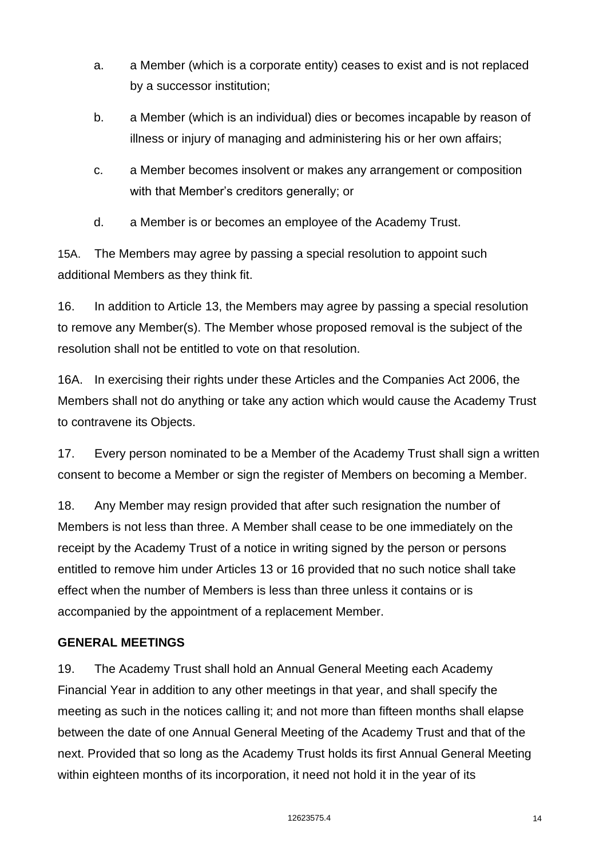- a. a Member (which is a corporate entity) ceases to exist and is not replaced by a successor institution;
- b. a Member (which is an individual) dies or becomes incapable by reason of illness or injury of managing and administering his or her own affairs;
- c. a Member becomes insolvent or makes any arrangement or composition with that Member's creditors generally; or
- d. a Member is or becomes an employee of the Academy Trust.

15A. The Members may agree by passing a special resolution to appoint such additional Members as they think fit.

16. In addition to Article 13, the Members may agree by passing a special resolution to remove any Member(s). The Member whose proposed removal is the subject of the resolution shall not be entitled to vote on that resolution.

16A. In exercising their rights under these Articles and the Companies Act 2006, the Members shall not do anything or take any action which would cause the Academy Trust to contravene its Objects.

17. Every person nominated to be a Member of the Academy Trust shall sign a written consent to become a Member or sign the register of Members on becoming a Member.

18. Any Member may resign provided that after such resignation the number of Members is not less than three. A Member shall cease to be one immediately on the receipt by the Academy Trust of a notice in writing signed by the person or persons entitled to remove him under Articles 13 or 16 provided that no such notice shall take effect when the number of Members is less than three unless it contains or is accompanied by the appointment of a replacement Member.

# **GENERAL MEETINGS**

19. The Academy Trust shall hold an Annual General Meeting each Academy Financial Year in addition to any other meetings in that year, and shall specify the meeting as such in the notices calling it; and not more than fifteen months shall elapse between the date of one Annual General Meeting of the Academy Trust and that of the next. Provided that so long as the Academy Trust holds its first Annual General Meeting within eighteen months of its incorporation, it need not hold it in the year of its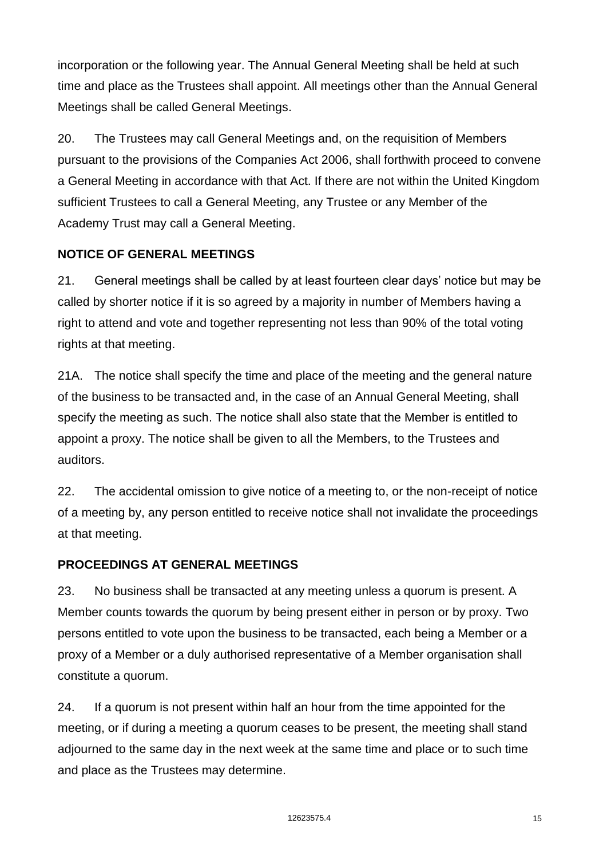incorporation or the following year. The Annual General Meeting shall be held at such time and place as the Trustees shall appoint. All meetings other than the Annual General Meetings shall be called General Meetings.

20. The Trustees may call General Meetings and, on the requisition of Members pursuant to the provisions of the Companies Act 2006, shall forthwith proceed to convene a General Meeting in accordance with that Act. If there are not within the United Kingdom sufficient Trustees to call a General Meeting, any Trustee or any Member of the Academy Trust may call a General Meeting.

# **NOTICE OF GENERAL MEETINGS**

21. General meetings shall be called by at least fourteen clear days' notice but may be called by shorter notice if it is so agreed by a majority in number of Members having a right to attend and vote and together representing not less than 90% of the total voting rights at that meeting.

21A. The notice shall specify the time and place of the meeting and the general nature of the business to be transacted and, in the case of an Annual General Meeting, shall specify the meeting as such. The notice shall also state that the Member is entitled to appoint a proxy. The notice shall be given to all the Members, to the Trustees and auditors.

22. The accidental omission to give notice of a meeting to, or the non-receipt of notice of a meeting by, any person entitled to receive notice shall not invalidate the proceedings at that meeting.

## **PROCEEDINGS AT GENERAL MEETINGS**

23. No business shall be transacted at any meeting unless a quorum is present. A Member counts towards the quorum by being present either in person or by proxy. Two persons entitled to vote upon the business to be transacted, each being a Member or a proxy of a Member or a duly authorised representative of a Member organisation shall constitute a quorum.

24. If a quorum is not present within half an hour from the time appointed for the meeting, or if during a meeting a quorum ceases to be present, the meeting shall stand adjourned to the same day in the next week at the same time and place or to such time and place as the Trustees may determine.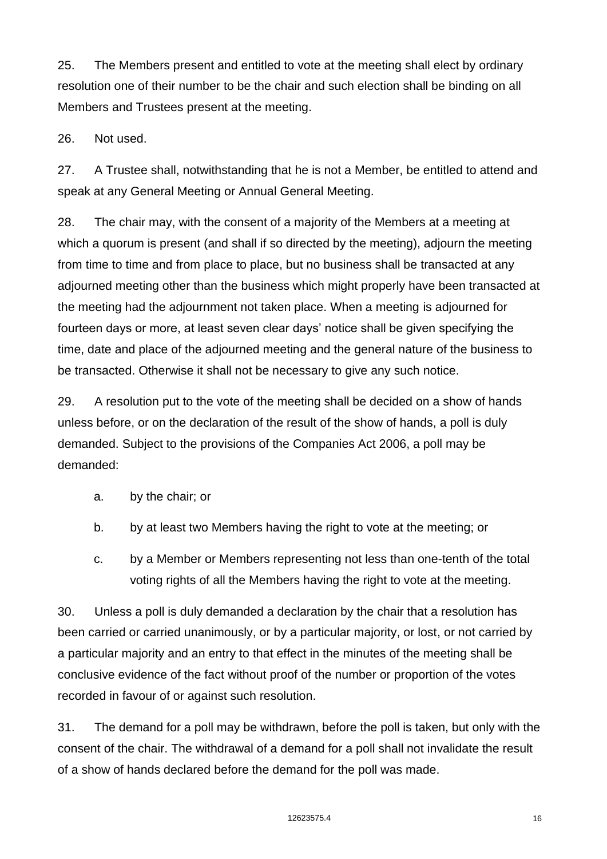25. The Members present and entitled to vote at the meeting shall elect by ordinary resolution one of their number to be the chair and such election shall be binding on all Members and Trustees present at the meeting.

26. Not used.

27. A Trustee shall, notwithstanding that he is not a Member, be entitled to attend and speak at any General Meeting or Annual General Meeting.

28. The chair may, with the consent of a majority of the Members at a meeting at which a quorum is present (and shall if so directed by the meeting), adjourn the meeting from time to time and from place to place, but no business shall be transacted at any adjourned meeting other than the business which might properly have been transacted at the meeting had the adjournment not taken place. When a meeting is adjourned for fourteen days or more, at least seven clear days' notice shall be given specifying the time, date and place of the adjourned meeting and the general nature of the business to be transacted. Otherwise it shall not be necessary to give any such notice.

29. A resolution put to the vote of the meeting shall be decided on a show of hands unless before, or on the declaration of the result of the show of hands, a poll is duly demanded. Subject to the provisions of the Companies Act 2006, a poll may be demanded:

- a. by the chair; or
- b. by at least two Members having the right to vote at the meeting; or
- c. by a Member or Members representing not less than one-tenth of the total voting rights of all the Members having the right to vote at the meeting.

30. Unless a poll is duly demanded a declaration by the chair that a resolution has been carried or carried unanimously, or by a particular majority, or lost, or not carried by a particular majority and an entry to that effect in the minutes of the meeting shall be conclusive evidence of the fact without proof of the number or proportion of the votes recorded in favour of or against such resolution.

31. The demand for a poll may be withdrawn, before the poll is taken, but only with the consent of the chair. The withdrawal of a demand for a poll shall not invalidate the result of a show of hands declared before the demand for the poll was made.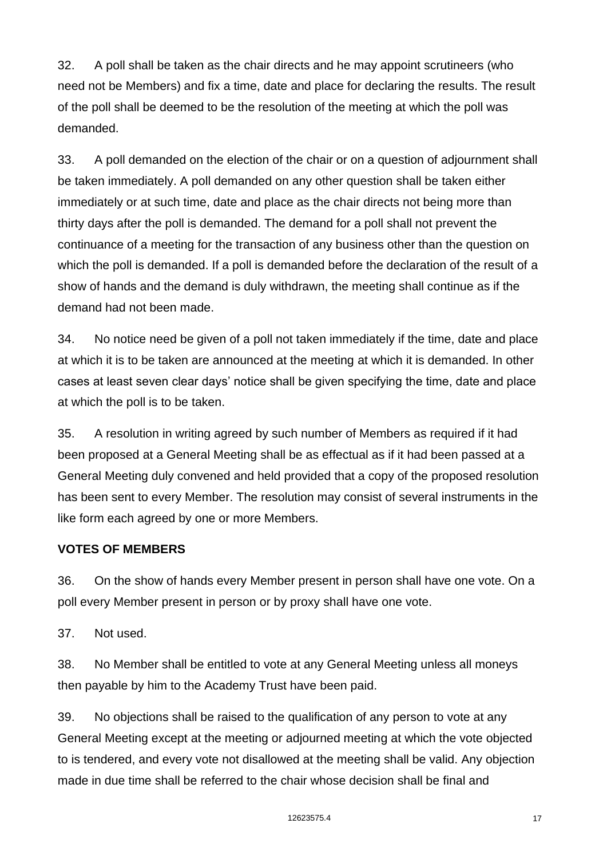32. A poll shall be taken as the chair directs and he may appoint scrutineers (who need not be Members) and fix a time, date and place for declaring the results. The result of the poll shall be deemed to be the resolution of the meeting at which the poll was demanded.

33. A poll demanded on the election of the chair or on a question of adjournment shall be taken immediately. A poll demanded on any other question shall be taken either immediately or at such time, date and place as the chair directs not being more than thirty days after the poll is demanded. The demand for a poll shall not prevent the continuance of a meeting for the transaction of any business other than the question on which the poll is demanded. If a poll is demanded before the declaration of the result of a show of hands and the demand is duly withdrawn, the meeting shall continue as if the demand had not been made.

34. No notice need be given of a poll not taken immediately if the time, date and place at which it is to be taken are announced at the meeting at which it is demanded. In other cases at least seven clear days' notice shall be given specifying the time, date and place at which the poll is to be taken.

35. A resolution in writing agreed by such number of Members as required if it had been proposed at a General Meeting shall be as effectual as if it had been passed at a General Meeting duly convened and held provided that a copy of the proposed resolution has been sent to every Member. The resolution may consist of several instruments in the like form each agreed by one or more Members.

# **VOTES OF MEMBERS**

36. On the show of hands every Member present in person shall have one vote. On a poll every Member present in person or by proxy shall have one vote.

37. Not used.

38. No Member shall be entitled to vote at any General Meeting unless all moneys then payable by him to the Academy Trust have been paid.

39. No objections shall be raised to the qualification of any person to vote at any General Meeting except at the meeting or adjourned meeting at which the vote objected to is tendered, and every vote not disallowed at the meeting shall be valid. Any objection made in due time shall be referred to the chair whose decision shall be final and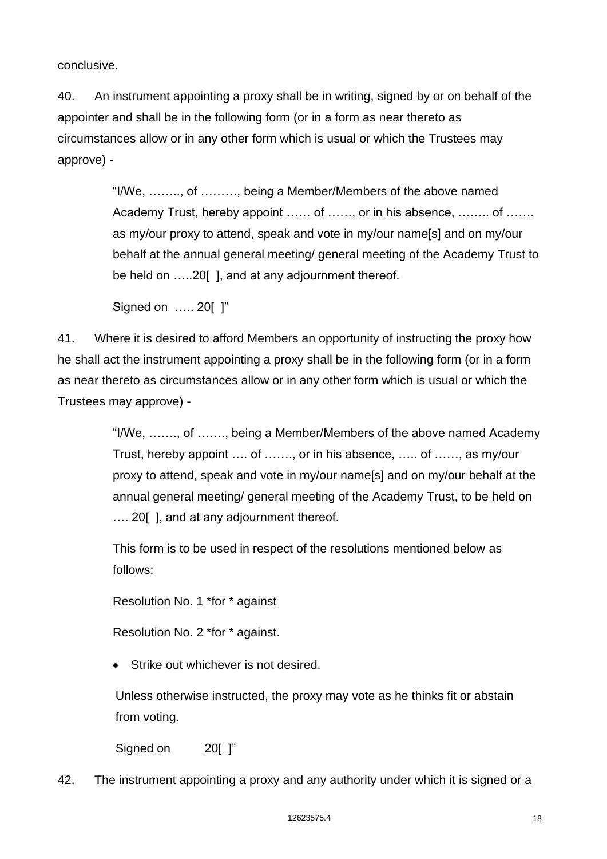conclusive.

40. An instrument appointing a proxy shall be in writing, signed by or on behalf of the appointer and shall be in the following form (or in a form as near thereto as circumstances allow or in any other form which is usual or which the Trustees may approve) -

> "I/We, …….., of ………, being a Member/Members of the above named Academy Trust, hereby appoint …… of ……, or in his absence, …….. of ……. as my/our proxy to attend, speak and vote in my/our name[s] and on my/our behalf at the annual general meeting/ general meeting of the Academy Trust to be held on …..20[ ], and at any adjournment thereof.

Signed on ….. 20[ ]"

41. Where it is desired to afford Members an opportunity of instructing the proxy how he shall act the instrument appointing a proxy shall be in the following form (or in a form as near thereto as circumstances allow or in any other form which is usual or which the Trustees may approve) -

> "I/We, ……., of ……., being a Member/Members of the above named Academy Trust, hereby appoint …. of ……., or in his absence, ….. of ……, as my/our proxy to attend, speak and vote in my/our name[s] and on my/our behalf at the annual general meeting/ general meeting of the Academy Trust, to be held on .... 20 [], and at any adjournment thereof.

This form is to be used in respect of the resolutions mentioned below as follows:

Resolution No. 1 \*for \* against

Resolution No. 2 \*for \* against.

Strike out whichever is not desired.

Unless otherwise instructed, the proxy may vote as he thinks fit or abstain from voting.

Signed on 20[ ]"

42. The instrument appointing a proxy and any authority under which it is signed or a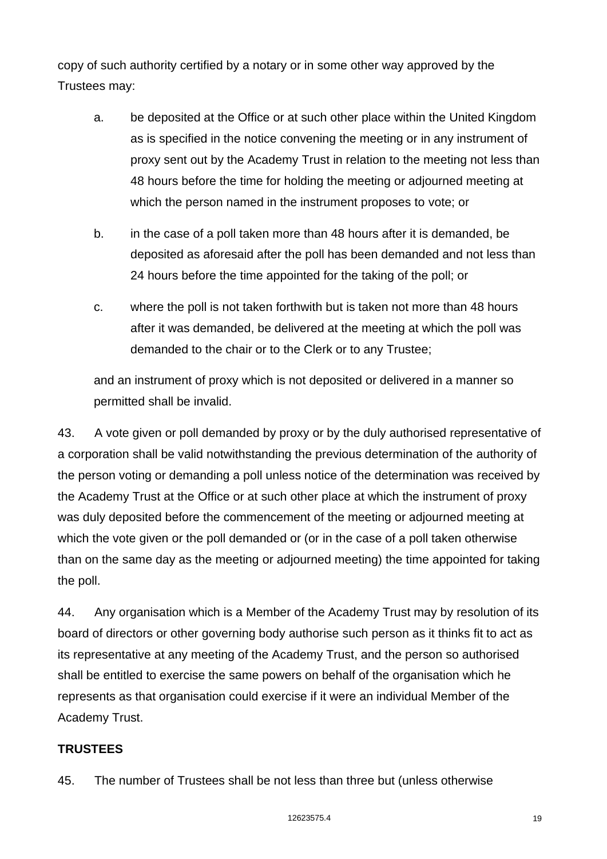copy of such authority certified by a notary or in some other way approved by the Trustees may:

- a. be deposited at the Office or at such other place within the United Kingdom as is specified in the notice convening the meeting or in any instrument of proxy sent out by the Academy Trust in relation to the meeting not less than 48 hours before the time for holding the meeting or adjourned meeting at which the person named in the instrument proposes to vote; or
- b. in the case of a poll taken more than 48 hours after it is demanded, be deposited as aforesaid after the poll has been demanded and not less than 24 hours before the time appointed for the taking of the poll; or
- c. where the poll is not taken forthwith but is taken not more than 48 hours after it was demanded, be delivered at the meeting at which the poll was demanded to the chair or to the Clerk or to any Trustee;

and an instrument of proxy which is not deposited or delivered in a manner so permitted shall be invalid.

43. A vote given or poll demanded by proxy or by the duly authorised representative of a corporation shall be valid notwithstanding the previous determination of the authority of the person voting or demanding a poll unless notice of the determination was received by the Academy Trust at the Office or at such other place at which the instrument of proxy was duly deposited before the commencement of the meeting or adjourned meeting at which the vote given or the poll demanded or (or in the case of a poll taken otherwise than on the same day as the meeting or adjourned meeting) the time appointed for taking the poll.

44. Any organisation which is a Member of the Academy Trust may by resolution of its board of directors or other governing body authorise such person as it thinks fit to act as its representative at any meeting of the Academy Trust, and the person so authorised shall be entitled to exercise the same powers on behalf of the organisation which he represents as that organisation could exercise if it were an individual Member of the Academy Trust.

## **TRUSTEES**

45. The number of Trustees shall be not less than three but (unless otherwise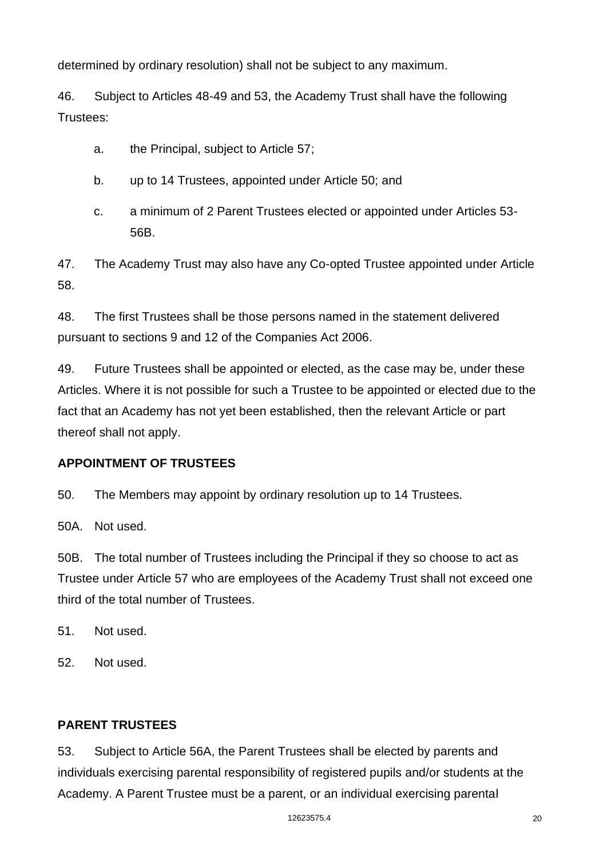determined by ordinary resolution) shall not be subject to any maximum.

46. Subject to Articles 48-49 and 53, the Academy Trust shall have the following Trustees:

- a. the Principal, subject to Article 57;
- b. up to 14 Trustees, appointed under Article 50; and
- c. a minimum of 2 Parent Trustees elected or appointed under Articles 53- 56B.

47. The Academy Trust may also have any Co-opted Trustee appointed under Article 58.

48. The first Trustees shall be those persons named in the statement delivered pursuant to sections 9 and 12 of the Companies Act 2006.

49. Future Trustees shall be appointed or elected, as the case may be, under these Articles. Where it is not possible for such a Trustee to be appointed or elected due to the fact that an Academy has not yet been established, then the relevant Article or part thereof shall not apply.

# **APPOINTMENT OF TRUSTEES**

50. The Members may appoint by ordinary resolution up to 14 Trustees.

50A. Not used.

50B. The total number of Trustees including the Principal if they so choose to act as Trustee under Article 57 who are employees of the Academy Trust shall not exceed one third of the total number of Trustees.

51. Not used.

52. Not used.

## **PARENT TRUSTEES**

53. Subject to Article 56A, the Parent Trustees shall be elected by parents and individuals exercising parental responsibility of registered pupils and/or students at the Academy. A Parent Trustee must be a parent, or an individual exercising parental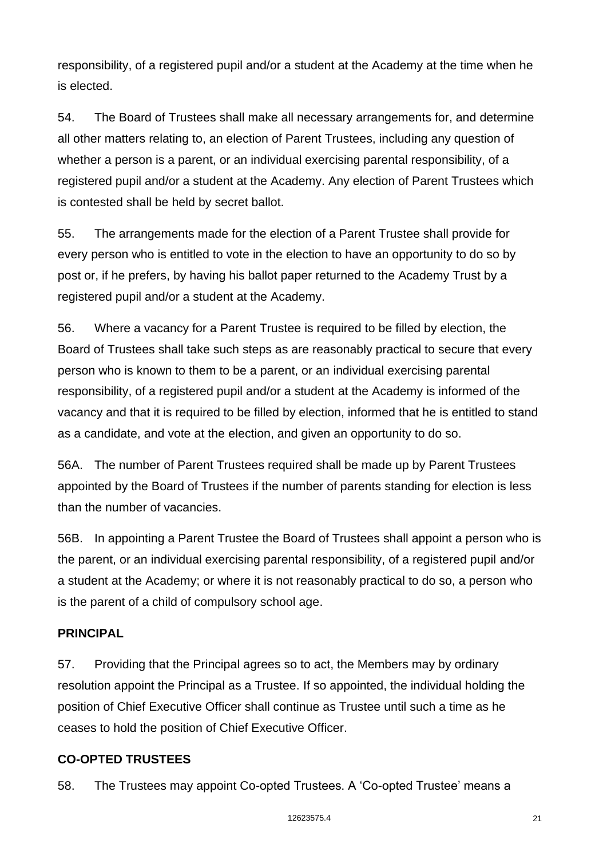responsibility, of a registered pupil and/or a student at the Academy at the time when he is elected.

54. The Board of Trustees shall make all necessary arrangements for, and determine all other matters relating to, an election of Parent Trustees, including any question of whether a person is a parent, or an individual exercising parental responsibility, of a registered pupil and/or a student at the Academy. Any election of Parent Trustees which is contested shall be held by secret ballot.

55. The arrangements made for the election of a Parent Trustee shall provide for every person who is entitled to vote in the election to have an opportunity to do so by post or, if he prefers, by having his ballot paper returned to the Academy Trust by a registered pupil and/or a student at the Academy.

56. Where a vacancy for a Parent Trustee is required to be filled by election, the Board of Trustees shall take such steps as are reasonably practical to secure that every person who is known to them to be a parent, or an individual exercising parental responsibility, of a registered pupil and/or a student at the Academy is informed of the vacancy and that it is required to be filled by election, informed that he is entitled to stand as a candidate, and vote at the election, and given an opportunity to do so.

56A. The number of Parent Trustees required shall be made up by Parent Trustees appointed by the Board of Trustees if the number of parents standing for election is less than the number of vacancies.

56B. In appointing a Parent Trustee the Board of Trustees shall appoint a person who is the parent, or an individual exercising parental responsibility, of a registered pupil and/or a student at the Academy; or where it is not reasonably practical to do so, a person who is the parent of a child of compulsory school age.

# **PRINCIPAL**

57. Providing that the Principal agrees so to act, the Members may by ordinary resolution appoint the Principal as a Trustee. If so appointed, the individual holding the position of Chief Executive Officer shall continue as Trustee until such a time as he ceases to hold the position of Chief Executive Officer.

# **CO-OPTED TRUSTEES**

58. The Trustees may appoint Co-opted Trustees. A 'Co-opted Trustee' means a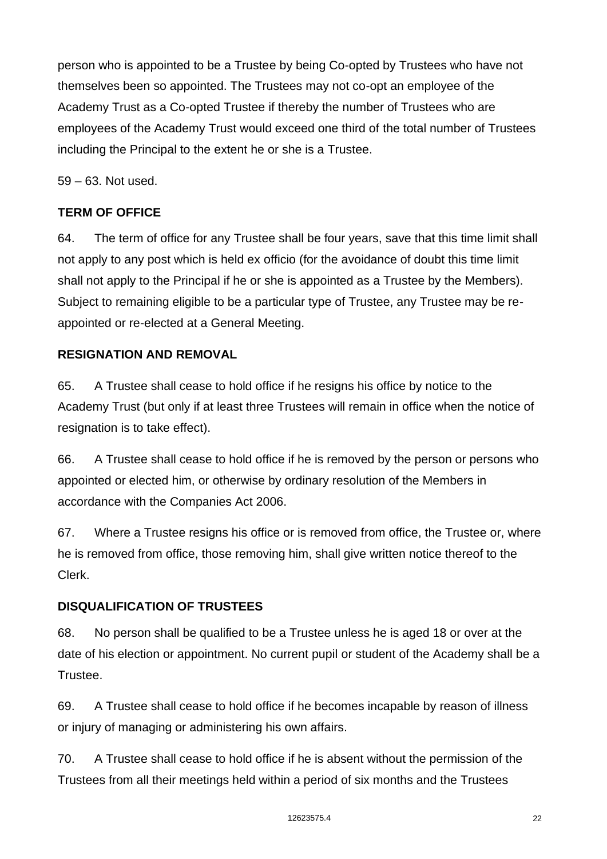person who is appointed to be a Trustee by being Co-opted by Trustees who have not themselves been so appointed. The Trustees may not co-opt an employee of the Academy Trust as a Co-opted Trustee if thereby the number of Trustees who are employees of the Academy Trust would exceed one third of the total number of Trustees including the Principal to the extent he or she is a Trustee.

59 – 63. Not used.

# **TERM OF OFFICE**

64. The term of office for any Trustee shall be four years, save that this time limit shall not apply to any post which is held ex officio (for the avoidance of doubt this time limit shall not apply to the Principal if he or she is appointed as a Trustee by the Members). Subject to remaining eligible to be a particular type of Trustee, any Trustee may be reappointed or re-elected at a General Meeting.

# **RESIGNATION AND REMOVAL**

65. A Trustee shall cease to hold office if he resigns his office by notice to the Academy Trust (but only if at least three Trustees will remain in office when the notice of resignation is to take effect).

66. A Trustee shall cease to hold office if he is removed by the person or persons who appointed or elected him, or otherwise by ordinary resolution of the Members in accordance with the Companies Act 2006.

67. Where a Trustee resigns his office or is removed from office, the Trustee or, where he is removed from office, those removing him, shall give written notice thereof to the Clerk.

# **DISQUALIFICATION OF TRUSTEES**

68. No person shall be qualified to be a Trustee unless he is aged 18 or over at the date of his election or appointment. No current pupil or student of the Academy shall be a Trustee.

69. A Trustee shall cease to hold office if he becomes incapable by reason of illness or injury of managing or administering his own affairs.

70. A Trustee shall cease to hold office if he is absent without the permission of the Trustees from all their meetings held within a period of six months and the Trustees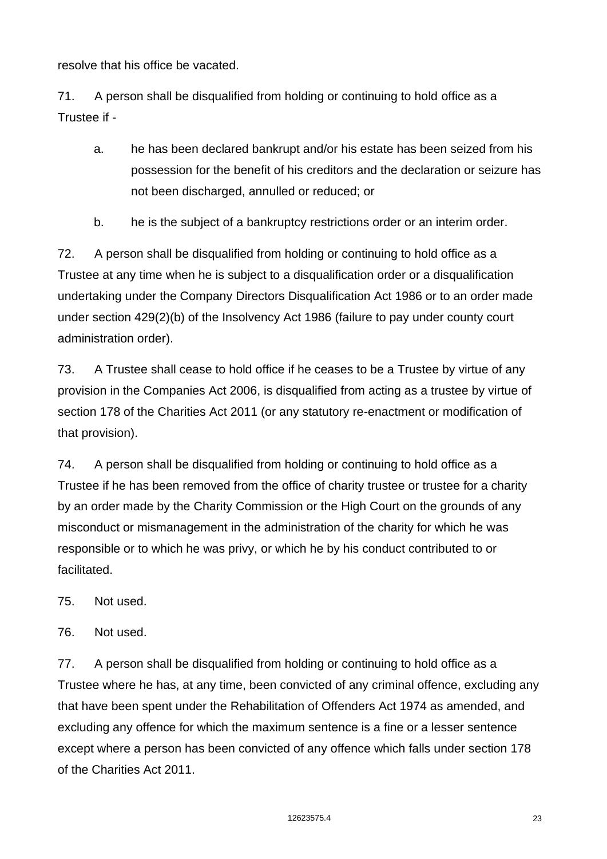resolve that his office be vacated.

71. A person shall be disqualified from holding or continuing to hold office as a Trustee if -

- a. he has been declared bankrupt and/or his estate has been seized from his possession for the benefit of his creditors and the declaration or seizure has not been discharged, annulled or reduced; or
- b. he is the subject of a bankruptcy restrictions order or an interim order.

72. A person shall be disqualified from holding or continuing to hold office as a Trustee at any time when he is subject to a disqualification order or a disqualification undertaking under the Company Directors Disqualification Act 1986 or to an order made under section 429(2)(b) of the Insolvency Act 1986 (failure to pay under county court administration order).

73. A Trustee shall cease to hold office if he ceases to be a Trustee by virtue of any provision in the Companies Act 2006, is disqualified from acting as a trustee by virtue of section 178 of the Charities Act 2011 (or any statutory re-enactment or modification of that provision).

74. A person shall be disqualified from holding or continuing to hold office as a Trustee if he has been removed from the office of charity trustee or trustee for a charity by an order made by the Charity Commission or the High Court on the grounds of any misconduct or mismanagement in the administration of the charity for which he was responsible or to which he was privy, or which he by his conduct contributed to or facilitated.

75. Not used.

76. Not used.

77. A person shall be disqualified from holding or continuing to hold office as a Trustee where he has, at any time, been convicted of any criminal offence, excluding any that have been spent under the Rehabilitation of Offenders Act 1974 as amended, and excluding any offence for which the maximum sentence is a fine or a lesser sentence except where a person has been convicted of any offence which falls under section 178 of the Charities Act 2011.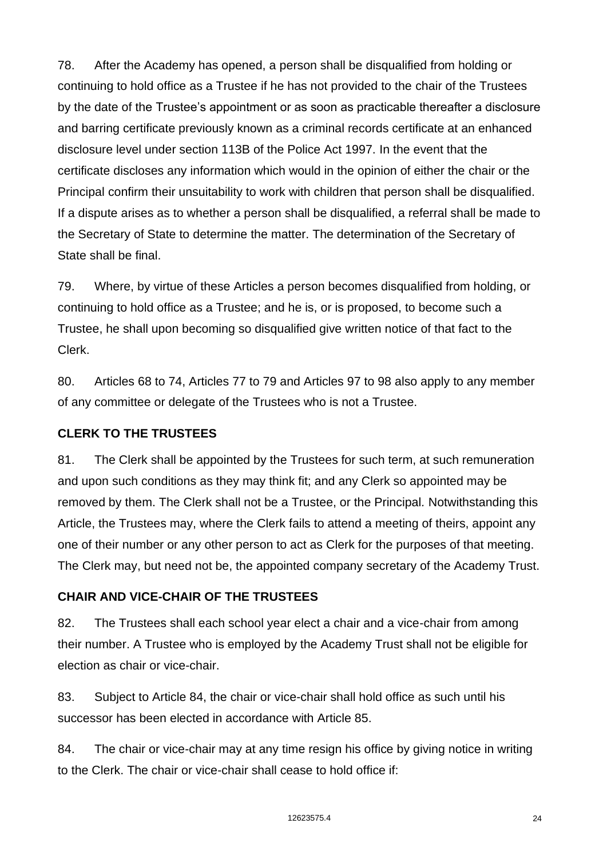78. After the Academy has opened, a person shall be disqualified from holding or continuing to hold office as a Trustee if he has not provided to the chair of the Trustees by the date of the Trustee's appointment or as soon as practicable thereafter a disclosure and barring certificate previously known as a criminal records certificate at an enhanced disclosure level under section 113B of the Police Act 1997. In the event that the certificate discloses any information which would in the opinion of either the chair or the Principal confirm their unsuitability to work with children that person shall be disqualified. If a dispute arises as to whether a person shall be disqualified, a referral shall be made to the Secretary of State to determine the matter. The determination of the Secretary of State shall be final.

79. Where, by virtue of these Articles a person becomes disqualified from holding, or continuing to hold office as a Trustee; and he is, or is proposed, to become such a Trustee, he shall upon becoming so disqualified give written notice of that fact to the Clerk.

80. Articles 68 to 74, Articles 77 to 79 and Articles 97 to 98 also apply to any member of any committee or delegate of the Trustees who is not a Trustee.

#### **CLERK TO THE TRUSTEES**

81. The Clerk shall be appointed by the Trustees for such term, at such remuneration and upon such conditions as they may think fit; and any Clerk so appointed may be removed by them. The Clerk shall not be a Trustee, or the Principal*.* Notwithstanding this Article, the Trustees may, where the Clerk fails to attend a meeting of theirs, appoint any one of their number or any other person to act as Clerk for the purposes of that meeting. The Clerk may, but need not be, the appointed company secretary of the Academy Trust.

## **CHAIR AND VICE-CHAIR OF THE TRUSTEES**

82. The Trustees shall each school year elect a chair and a vice-chair from among their number. A Trustee who is employed by the Academy Trust shall not be eligible for election as chair or vice-chair.

83. Subject to Article 84, the chair or vice-chair shall hold office as such until his successor has been elected in accordance with Article 85.

84. The chair or vice-chair may at any time resign his office by giving notice in writing to the Clerk. The chair or vice-chair shall cease to hold office if: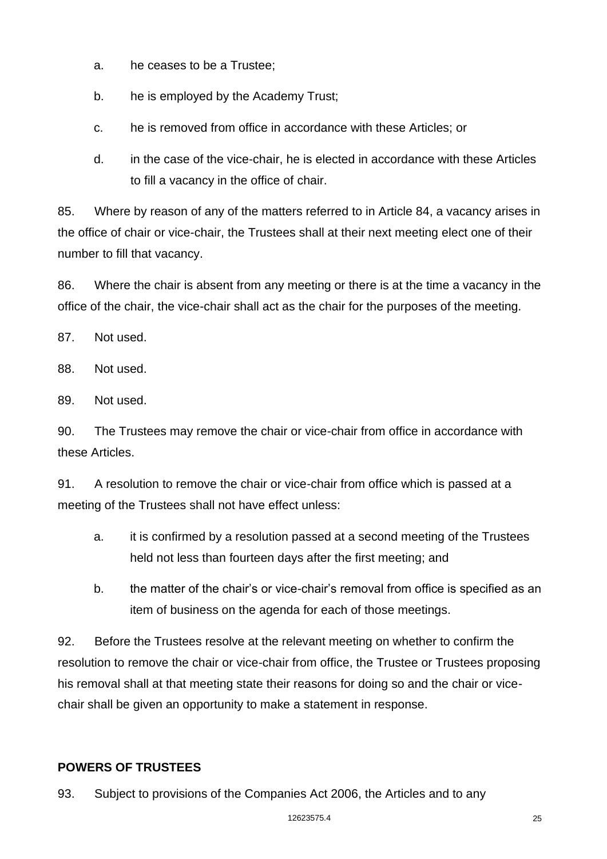- a. he ceases to be a Trustee;
- b. he is employed by the Academy Trust;
- c. he is removed from office in accordance with these Articles; or
- d. in the case of the vice-chair, he is elected in accordance with these Articles to fill a vacancy in the office of chair.

85. Where by reason of any of the matters referred to in Article 84, a vacancy arises in the office of chair or vice-chair, the Trustees shall at their next meeting elect one of their number to fill that vacancy.

86. Where the chair is absent from any meeting or there is at the time a vacancy in the office of the chair, the vice-chair shall act as the chair for the purposes of the meeting.

87. Not used.

88. Not used.

89. Not used.

90. The Trustees may remove the chair or vice-chair from office in accordance with these Articles.

91. A resolution to remove the chair or vice-chair from office which is passed at a meeting of the Trustees shall not have effect unless:

- a. it is confirmed by a resolution passed at a second meeting of the Trustees held not less than fourteen days after the first meeting; and
- b. the matter of the chair's or vice-chair's removal from office is specified as an item of business on the agenda for each of those meetings.

92. Before the Trustees resolve at the relevant meeting on whether to confirm the resolution to remove the chair or vice-chair from office, the Trustee or Trustees proposing his removal shall at that meeting state their reasons for doing so and the chair or vicechair shall be given an opportunity to make a statement in response.

## **POWERS OF TRUSTEES**

93. Subject to provisions of the Companies Act 2006, the Articles and to any

#### 12623575.4 25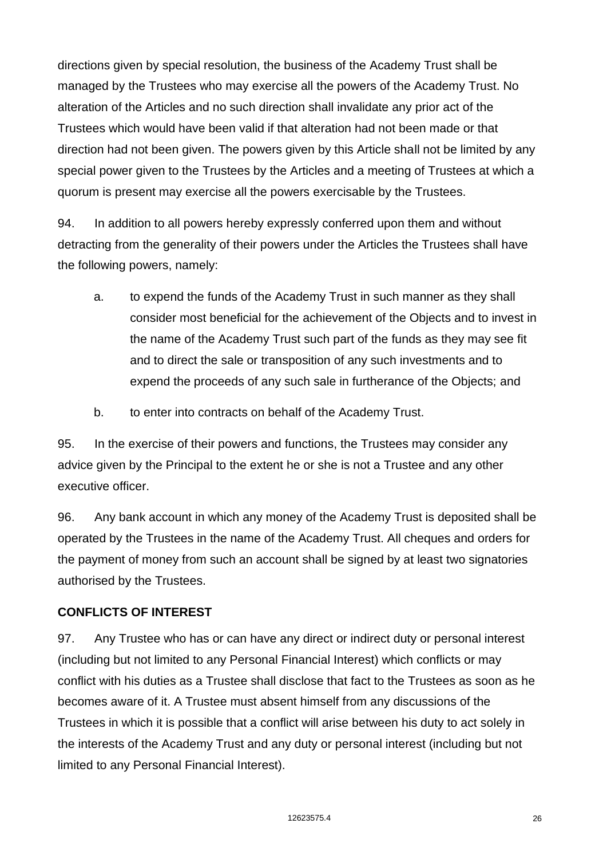directions given by special resolution, the business of the Academy Trust shall be managed by the Trustees who may exercise all the powers of the Academy Trust. No alteration of the Articles and no such direction shall invalidate any prior act of the Trustees which would have been valid if that alteration had not been made or that direction had not been given. The powers given by this Article shall not be limited by any special power given to the Trustees by the Articles and a meeting of Trustees at which a quorum is present may exercise all the powers exercisable by the Trustees.

94. In addition to all powers hereby expressly conferred upon them and without detracting from the generality of their powers under the Articles the Trustees shall have the following powers, namely:

- a. to expend the funds of the Academy Trust in such manner as they shall consider most beneficial for the achievement of the Objects and to invest in the name of the Academy Trust such part of the funds as they may see fit and to direct the sale or transposition of any such investments and to expend the proceeds of any such sale in furtherance of the Objects; and
- b. to enter into contracts on behalf of the Academy Trust.

95. In the exercise of their powers and functions, the Trustees may consider any advice given by the Principal to the extent he or she is not a Trustee and any other executive officer.

96. Any bank account in which any money of the Academy Trust is deposited shall be operated by the Trustees in the name of the Academy Trust. All cheques and orders for the payment of money from such an account shall be signed by at least two signatories authorised by the Trustees.

## **CONFLICTS OF INTEREST**

97. Any Trustee who has or can have any direct or indirect duty or personal interest (including but not limited to any Personal Financial Interest) which conflicts or may conflict with his duties as a Trustee shall disclose that fact to the Trustees as soon as he becomes aware of it. A Trustee must absent himself from any discussions of the Trustees in which it is possible that a conflict will arise between his duty to act solely in the interests of the Academy Trust and any duty or personal interest (including but not limited to any Personal Financial Interest).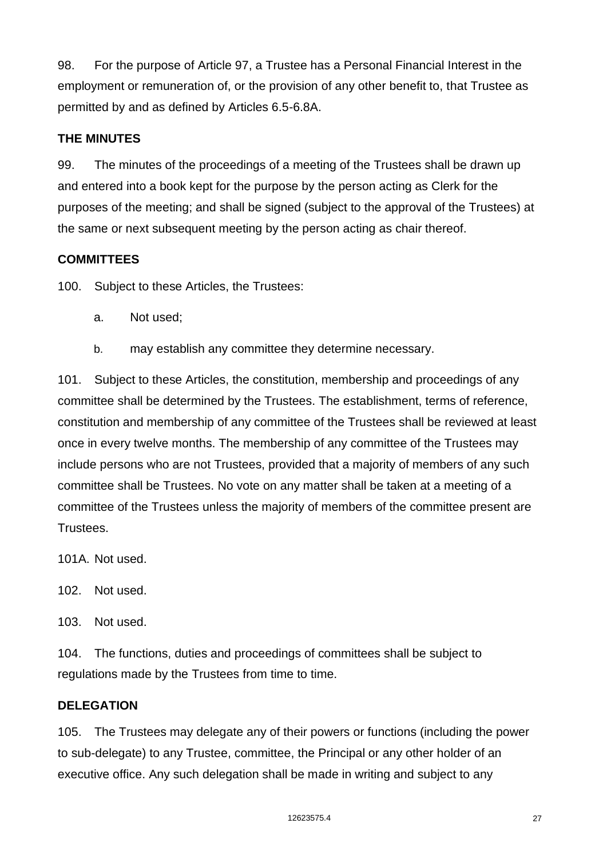98. For the purpose of Article 97, a Trustee has a Personal Financial Interest in the employment or remuneration of, or the provision of any other benefit to, that Trustee as permitted by and as defined by Articles 6.5-6.8A.

# **THE MINUTES**

99. The minutes of the proceedings of a meeting of the Trustees shall be drawn up and entered into a book kept for the purpose by the person acting as Clerk for the purposes of the meeting; and shall be signed (subject to the approval of the Trustees) at the same or next subsequent meeting by the person acting as chair thereof.

## **COMMITTEES**

100. Subject to these Articles, the Trustees:

- a. Not used;
- b. may establish any committee they determine necessary.

101. Subject to these Articles, the constitution, membership and proceedings of any committee shall be determined by the Trustees. The establishment, terms of reference, constitution and membership of any committee of the Trustees shall be reviewed at least once in every twelve months. The membership of any committee of the Trustees may include persons who are not Trustees, provided that a majority of members of any such committee shall be Trustees. No vote on any matter shall be taken at a meeting of a committee of the Trustees unless the majority of members of the committee present are Trustees.

101A. Not used.

102. Not used.

103. Not used.

104. The functions, duties and proceedings of committees shall be subject to regulations made by the Trustees from time to time.

## **DELEGATION**

105. The Trustees may delegate any of their powers or functions (including the power to sub-delegate) to any Trustee, committee, the Principal or any other holder of an executive office. Any such delegation shall be made in writing and subject to any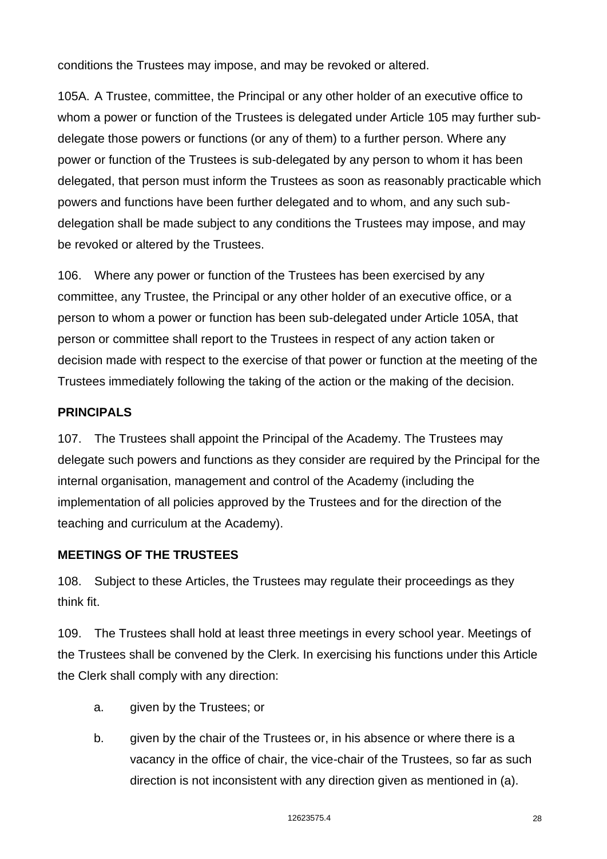conditions the Trustees may impose, and may be revoked or altered.

105A. A Trustee, committee, the Principal or any other holder of an executive office to whom a power or function of the Trustees is delegated under Article 105 may further subdelegate those powers or functions (or any of them) to a further person. Where any power or function of the Trustees is sub-delegated by any person to whom it has been delegated, that person must inform the Trustees as soon as reasonably practicable which powers and functions have been further delegated and to whom, and any such subdelegation shall be made subject to any conditions the Trustees may impose, and may be revoked or altered by the Trustees.

106. Where any power or function of the Trustees has been exercised by any committee, any Trustee, the Principal or any other holder of an executive office, or a person to whom a power or function has been sub-delegated under Article 105A, that person or committee shall report to the Trustees in respect of any action taken or decision made with respect to the exercise of that power or function at the meeting of the Trustees immediately following the taking of the action or the making of the decision.

# **PRINCIPALS**

107. The Trustees shall appoint the Principal of the Academy. The Trustees may delegate such powers and functions as they consider are required by the Principal for the internal organisation, management and control of the Academy (including the implementation of all policies approved by the Trustees and for the direction of the teaching and curriculum at the Academy).

## **MEETINGS OF THE TRUSTEES**

108. Subject to these Articles, the Trustees may regulate their proceedings as they think fit.

109. The Trustees shall hold at least three meetings in every school year. Meetings of the Trustees shall be convened by the Clerk. In exercising his functions under this Article the Clerk shall comply with any direction:

- a. given by the Trustees; or
- b. given by the chair of the Trustees or, in his absence or where there is a vacancy in the office of chair, the vice-chair of the Trustees, so far as such direction is not inconsistent with any direction given as mentioned in (a).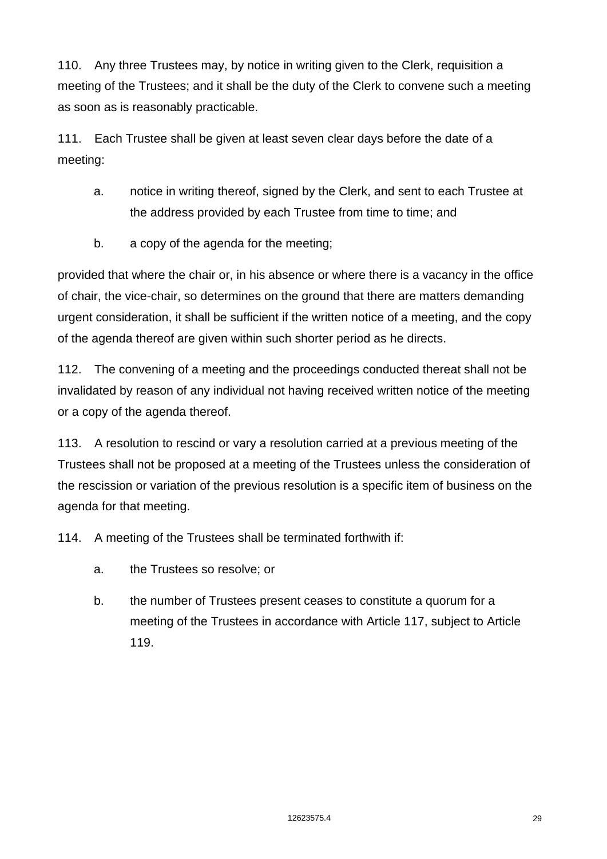110. Any three Trustees may, by notice in writing given to the Clerk, requisition a meeting of the Trustees; and it shall be the duty of the Clerk to convene such a meeting as soon as is reasonably practicable.

111. Each Trustee shall be given at least seven clear days before the date of a meeting:

- a. notice in writing thereof, signed by the Clerk, and sent to each Trustee at the address provided by each Trustee from time to time; and
- b. a copy of the agenda for the meeting;

provided that where the chair or, in his absence or where there is a vacancy in the office of chair, the vice-chair, so determines on the ground that there are matters demanding urgent consideration, it shall be sufficient if the written notice of a meeting, and the copy of the agenda thereof are given within such shorter period as he directs.

112. The convening of a meeting and the proceedings conducted thereat shall not be invalidated by reason of any individual not having received written notice of the meeting or a copy of the agenda thereof.

113. A resolution to rescind or vary a resolution carried at a previous meeting of the Trustees shall not be proposed at a meeting of the Trustees unless the consideration of the rescission or variation of the previous resolution is a specific item of business on the agenda for that meeting.

114. A meeting of the Trustees shall be terminated forthwith if:

- a. the Trustees so resolve; or
- b. the number of Trustees present ceases to constitute a quorum for a meeting of the Trustees in accordance with Article 117, subject to Article 119.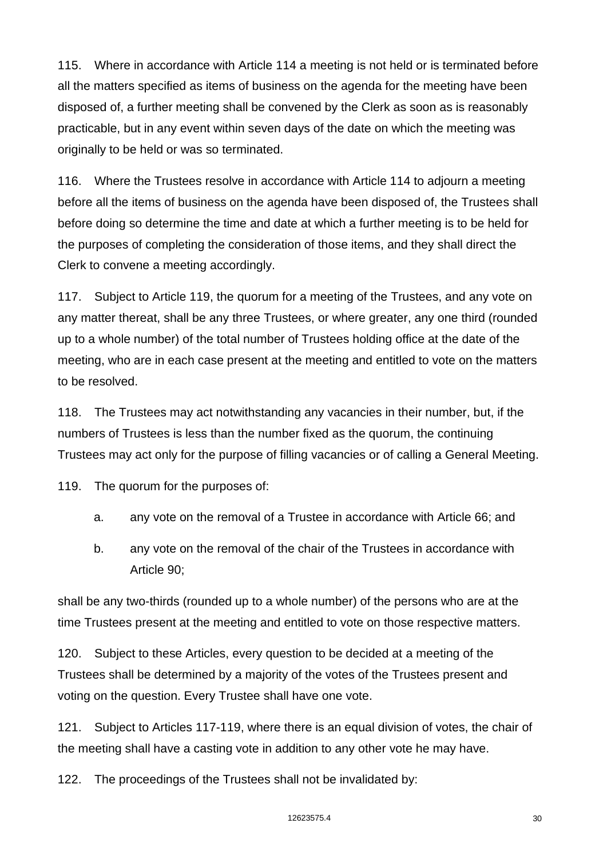115. Where in accordance with Article 114 a meeting is not held or is terminated before all the matters specified as items of business on the agenda for the meeting have been disposed of, a further meeting shall be convened by the Clerk as soon as is reasonably practicable, but in any event within seven days of the date on which the meeting was originally to be held or was so terminated.

116. Where the Trustees resolve in accordance with Article 114 to adjourn a meeting before all the items of business on the agenda have been disposed of, the Trustees shall before doing so determine the time and date at which a further meeting is to be held for the purposes of completing the consideration of those items, and they shall direct the Clerk to convene a meeting accordingly.

117. Subject to Article 119, the quorum for a meeting of the Trustees, and any vote on any matter thereat, shall be any three Trustees, or where greater, any one third (rounded up to a whole number) of the total number of Trustees holding office at the date of the meeting, who are in each case present at the meeting and entitled to vote on the matters to be resolved.

118. The Trustees may act notwithstanding any vacancies in their number, but, if the numbers of Trustees is less than the number fixed as the quorum, the continuing Trustees may act only for the purpose of filling vacancies or of calling a General Meeting.

119. The quorum for the purposes of:

- a. any vote on the removal of a Trustee in accordance with Article 66; and
- b. any vote on the removal of the chair of the Trustees in accordance with Article 90;

shall be any two-thirds (rounded up to a whole number) of the persons who are at the time Trustees present at the meeting and entitled to vote on those respective matters.

120. Subject to these Articles, every question to be decided at a meeting of the Trustees shall be determined by a majority of the votes of the Trustees present and voting on the question. Every Trustee shall have one vote.

121. Subject to Articles 117-119, where there is an equal division of votes, the chair of the meeting shall have a casting vote in addition to any other vote he may have.

122. The proceedings of the Trustees shall not be invalidated by: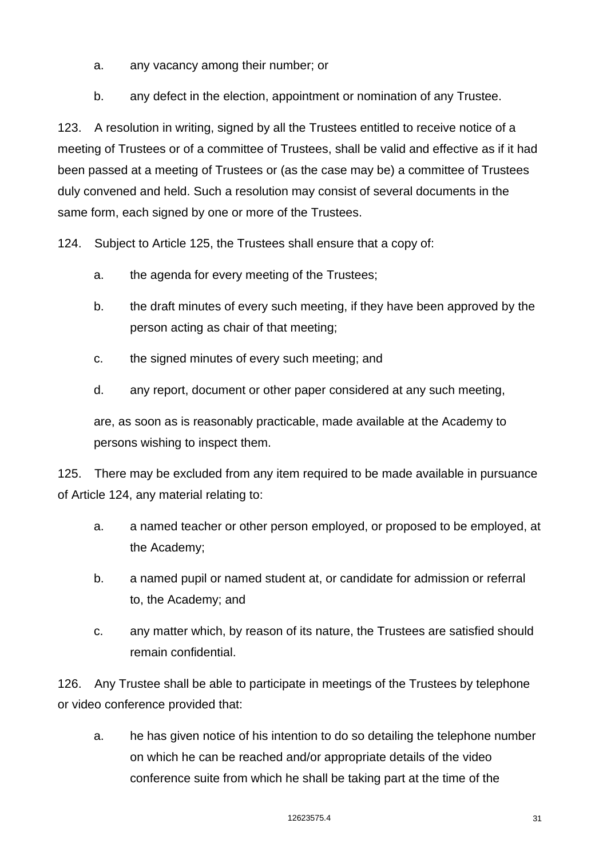- a. any vacancy among their number; or
- b. any defect in the election, appointment or nomination of any Trustee.

123. A resolution in writing, signed by all the Trustees entitled to receive notice of a meeting of Trustees or of a committee of Trustees, shall be valid and effective as if it had been passed at a meeting of Trustees or (as the case may be) a committee of Trustees duly convened and held. Such a resolution may consist of several documents in the same form, each signed by one or more of the Trustees.

124. Subject to Article 125, the Trustees shall ensure that a copy of:

- a. the agenda for every meeting of the Trustees;
- b. the draft minutes of every such meeting, if they have been approved by the person acting as chair of that meeting;
- c. the signed minutes of every such meeting; and
- d. any report, document or other paper considered at any such meeting,

are, as soon as is reasonably practicable, made available at the Academy to persons wishing to inspect them.

125. There may be excluded from any item required to be made available in pursuance of Article 124, any material relating to:

- a. a named teacher or other person employed, or proposed to be employed, at the Academy;
- b. a named pupil or named student at, or candidate for admission or referral to, the Academy; and
- c. any matter which, by reason of its nature, the Trustees are satisfied should remain confidential.

126. Any Trustee shall be able to participate in meetings of the Trustees by telephone or video conference provided that:

a. he has given notice of his intention to do so detailing the telephone number on which he can be reached and/or appropriate details of the video conference suite from which he shall be taking part at the time of the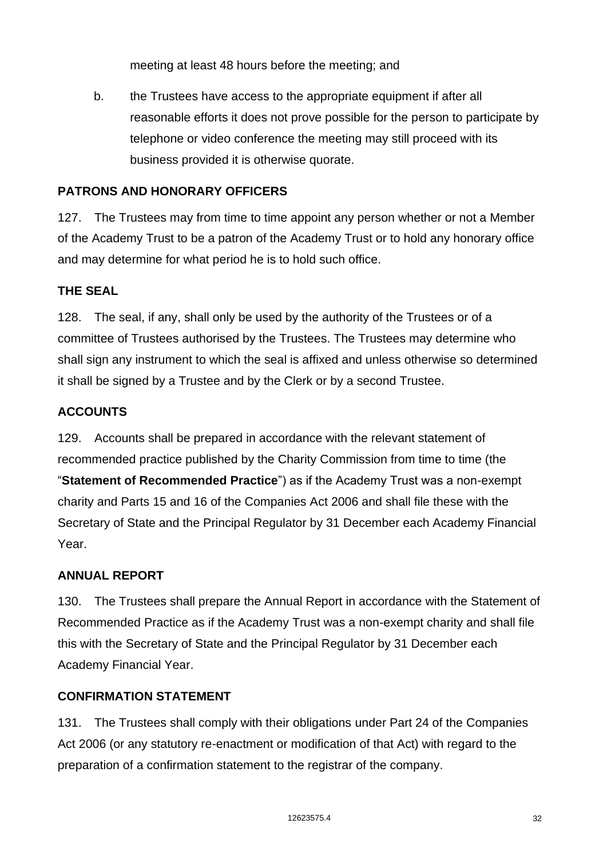meeting at least 48 hours before the meeting; and

b. the Trustees have access to the appropriate equipment if after all reasonable efforts it does not prove possible for the person to participate by telephone or video conference the meeting may still proceed with its business provided it is otherwise quorate.

# **PATRONS AND HONORARY OFFICERS**

127. The Trustees may from time to time appoint any person whether or not a Member of the Academy Trust to be a patron of the Academy Trust or to hold any honorary office and may determine for what period he is to hold such office.

# **THE SEAL**

128. The seal, if any, shall only be used by the authority of the Trustees or of a committee of Trustees authorised by the Trustees. The Trustees may determine who shall sign any instrument to which the seal is affixed and unless otherwise so determined it shall be signed by a Trustee and by the Clerk or by a second Trustee.

# **ACCOUNTS**

129. Accounts shall be prepared in accordance with the relevant statement of recommended practice published by the Charity Commission from time to time (the "**Statement of Recommended Practice**") as if the Academy Trust was a non-exempt charity and Parts 15 and 16 of the Companies Act 2006 and shall file these with the Secretary of State and the Principal Regulator by 31 December each Academy Financial Year.

## **ANNUAL REPORT**

130. The Trustees shall prepare the Annual Report in accordance with the Statement of Recommended Practice as if the Academy Trust was a non-exempt charity and shall file this with the Secretary of State and the Principal Regulator by 31 December each Academy Financial Year.

## **CONFIRMATION STATEMENT**

131. The Trustees shall comply with their obligations under Part 24 of the Companies Act 2006 (or any statutory re-enactment or modification of that Act) with regard to the preparation of a confirmation statement to the registrar of the company.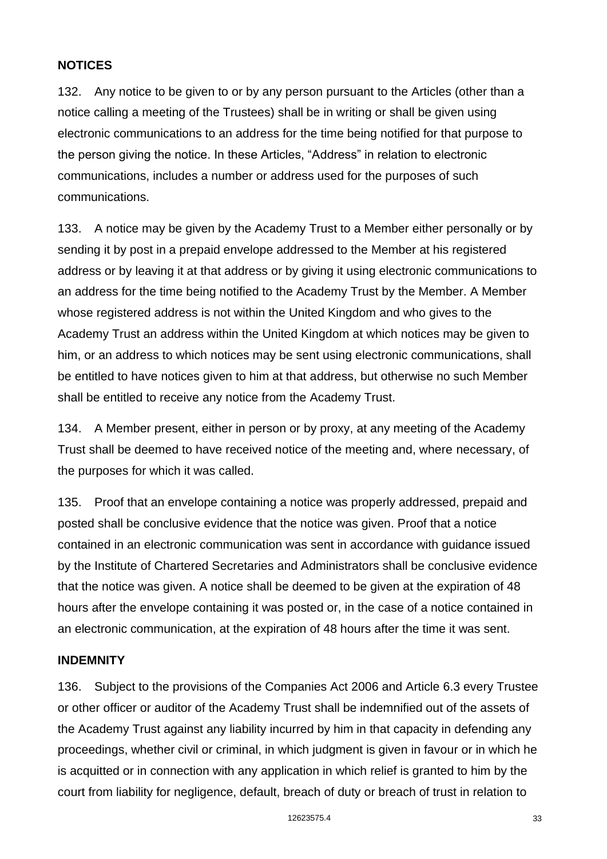## **NOTICES**

132. Any notice to be given to or by any person pursuant to the Articles (other than a notice calling a meeting of the Trustees) shall be in writing or shall be given using electronic communications to an address for the time being notified for that purpose to the person giving the notice. In these Articles, "Address" in relation to electronic communications, includes a number or address used for the purposes of such communications.

133. A notice may be given by the Academy Trust to a Member either personally or by sending it by post in a prepaid envelope addressed to the Member at his registered address or by leaving it at that address or by giving it using electronic communications to an address for the time being notified to the Academy Trust by the Member. A Member whose registered address is not within the United Kingdom and who gives to the Academy Trust an address within the United Kingdom at which notices may be given to him, or an address to which notices may be sent using electronic communications, shall be entitled to have notices given to him at that address, but otherwise no such Member shall be entitled to receive any notice from the Academy Trust.

134. A Member present, either in person or by proxy, at any meeting of the Academy Trust shall be deemed to have received notice of the meeting and, where necessary, of the purposes for which it was called.

135. Proof that an envelope containing a notice was properly addressed, prepaid and posted shall be conclusive evidence that the notice was given. Proof that a notice contained in an electronic communication was sent in accordance with guidance issued by the Institute of Chartered Secretaries and Administrators shall be conclusive evidence that the notice was given. A notice shall be deemed to be given at the expiration of 48 hours after the envelope containing it was posted or, in the case of a notice contained in an electronic communication, at the expiration of 48 hours after the time it was sent.

#### **INDEMNITY**

136. Subject to the provisions of the Companies Act 2006 and Article 6.3 every Trustee or other officer or auditor of the Academy Trust shall be indemnified out of the assets of the Academy Trust against any liability incurred by him in that capacity in defending any proceedings, whether civil or criminal, in which judgment is given in favour or in which he is acquitted or in connection with any application in which relief is granted to him by the court from liability for negligence, default, breach of duty or breach of trust in relation to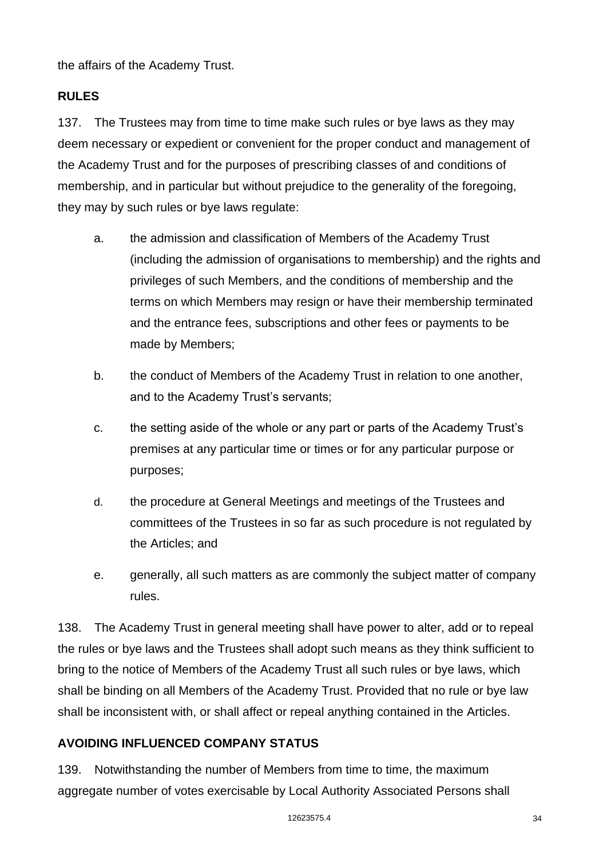the affairs of the Academy Trust.

# **RULES**

137. The Trustees may from time to time make such rules or bye laws as they may deem necessary or expedient or convenient for the proper conduct and management of the Academy Trust and for the purposes of prescribing classes of and conditions of membership, and in particular but without prejudice to the generality of the foregoing, they may by such rules or bye laws regulate:

- a. the admission and classification of Members of the Academy Trust (including the admission of organisations to membership) and the rights and privileges of such Members, and the conditions of membership and the terms on which Members may resign or have their membership terminated and the entrance fees, subscriptions and other fees or payments to be made by Members;
- b. the conduct of Members of the Academy Trust in relation to one another, and to the Academy Trust's servants;
- c. the setting aside of the whole or any part or parts of the Academy Trust's premises at any particular time or times or for any particular purpose or purposes;
- d. the procedure at General Meetings and meetings of the Trustees and committees of the Trustees in so far as such procedure is not regulated by the Articles; and
- e. generally, all such matters as are commonly the subject matter of company rules.

138. The Academy Trust in general meeting shall have power to alter, add or to repeal the rules or bye laws and the Trustees shall adopt such means as they think sufficient to bring to the notice of Members of the Academy Trust all such rules or bye laws, which shall be binding on all Members of the Academy Trust. Provided that no rule or bye law shall be inconsistent with, or shall affect or repeal anything contained in the Articles.

## **AVOIDING INFLUENCED COMPANY STATUS**

139. Notwithstanding the number of Members from time to time, the maximum aggregate number of votes exercisable by Local Authority Associated Persons shall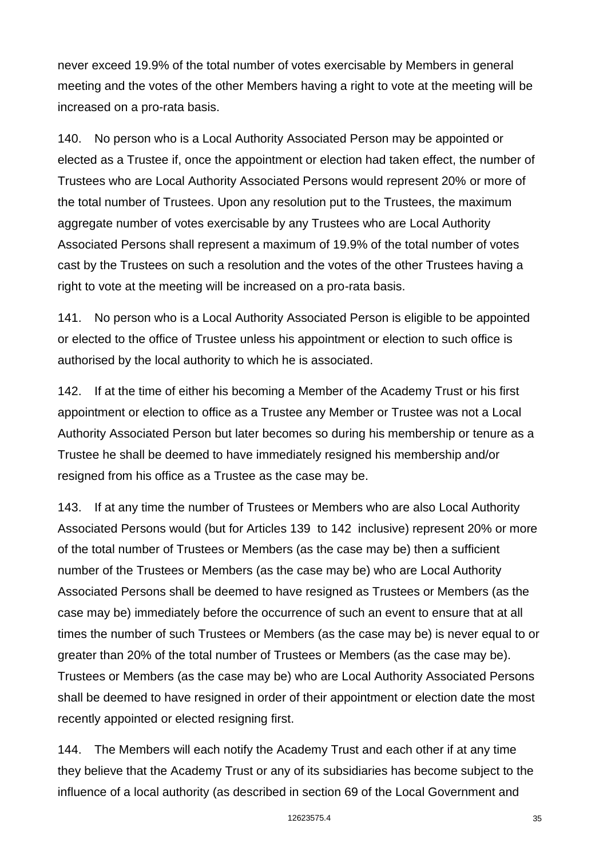never exceed 19.9% of the total number of votes exercisable by Members in general meeting and the votes of the other Members having a right to vote at the meeting will be increased on a pro-rata basis.

140. No person who is a Local Authority Associated Person may be appointed or elected as a Trustee if, once the appointment or election had taken effect, the number of Trustees who are Local Authority Associated Persons would represent 20% or more of the total number of Trustees. Upon any resolution put to the Trustees, the maximum aggregate number of votes exercisable by any Trustees who are Local Authority Associated Persons shall represent a maximum of 19.9% of the total number of votes cast by the Trustees on such a resolution and the votes of the other Trustees having a right to vote at the meeting will be increased on a pro-rata basis.

141. No person who is a Local Authority Associated Person is eligible to be appointed or elected to the office of Trustee unless his appointment or election to such office is authorised by the local authority to which he is associated.

142. If at the time of either his becoming a Member of the Academy Trust or his first appointment or election to office as a Trustee any Member or Trustee was not a Local Authority Associated Person but later becomes so during his membership or tenure as a Trustee he shall be deemed to have immediately resigned his membership and/or resigned from his office as a Trustee as the case may be.

143. If at any time the number of Trustees or Members who are also Local Authority Associated Persons would (but for Articles 139 to 142 inclusive) represent 20% or more of the total number of Trustees or Members (as the case may be) then a sufficient number of the Trustees or Members (as the case may be) who are Local Authority Associated Persons shall be deemed to have resigned as Trustees or Members (as the case may be) immediately before the occurrence of such an event to ensure that at all times the number of such Trustees or Members (as the case may be) is never equal to or greater than 20% of the total number of Trustees or Members (as the case may be). Trustees or Members (as the case may be) who are Local Authority Associated Persons shall be deemed to have resigned in order of their appointment or election date the most recently appointed or elected resigning first.

144. The Members will each notify the Academy Trust and each other if at any time they believe that the Academy Trust or any of its subsidiaries has become subject to the influence of a local authority (as described in section 69 of the Local Government and